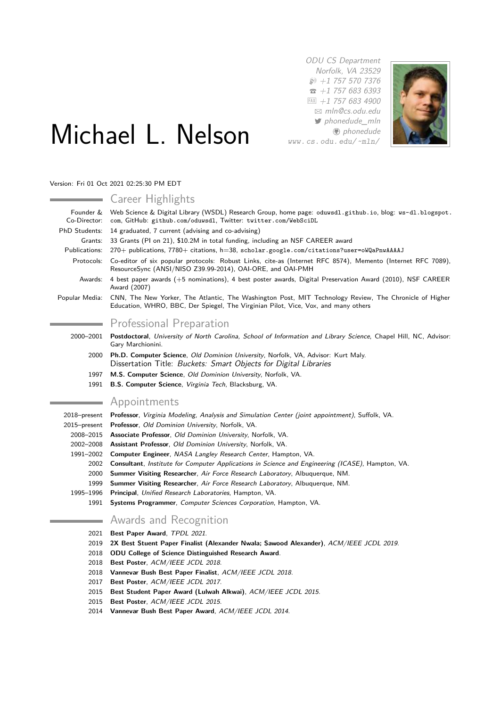ODU CS Department Norfolk, VA 23529  $$+1$  757 570 7376  $\bar{a}$  +1 757 683 6393  $FAX$  +1 757 683 4900 B [mln@cs.odu.edu](mailto:mln@cs.odu.edu) [phonedude\\_mln](http://www.twitter.com/phonedude\protect _mln) **D** [phonedude](http://www.github.com/phonedude) [www. cs. odu. edu/ ~mln/](http://www.cs.odu.edu/~mln/)



# Michael L. Nelson

Version: Fri 01 Oct 2021 02:25:30 PM EDT

 $\sim$ 

 $\sim$ 

 $\sim$ 

|                           | Career Highlights                                                                                                                                                                            |
|---------------------------|----------------------------------------------------------------------------------------------------------------------------------------------------------------------------------------------|
| Founder &<br>Co-Director: | Web Science & Digital Library (WSDL) Research Group, home page: oduwsdl.github.io, blog: ws-dl.blogspot.<br>com, GitHub: github.com/oduwsdl, Twitter: twitter.com/WebSciDL                   |
| PhD Students:             | 14 graduated, 7 current (advising and co-advising)                                                                                                                                           |
| Grants:                   | 33 Grants (PI on 21), \$10.2M in total funding, including an NSF CAREER award                                                                                                                |
| Publications:             | 270+ publications, 7780+ citations, h=38, scholar.google.com/citations?user=oWQaPnwAAAAJ                                                                                                     |
| Protocols:                | Co-editor of six popular protocols: Robust Links, cite-as (Internet RFC 8574), Memento (Internet RFC 7089),<br>ResourceSync (ANSI/NISO Z39.99-2014), OAI-ORE, and OAI-PMH                    |
| Awards:                   | 4 best paper awards (+5 nominations), 4 best poster awards, Digital Preservation Award (2010), NSF CAREER<br>Award (2007)                                                                    |
| Popular Media:            | CNN, The New Yorker, The Atlantic, The Washington Post, MIT Technology Review, The Chronicle of Higher<br>Education, WHRO, BBC, Der Spiegel, The Virginian Pilot, Vice, Vox, and many others |
|                           | <b>Professional Preparation</b>                                                                                                                                                              |
| 2000-2001                 | Postdoctoral, University of North Carolina, School of Information and Library Science, Chapel Hill, NC, Advisor:<br>Gary Marchionini.                                                        |
| 2000                      | Ph.D. Computer Science, Old Dominion University, Norfolk, VA, Advisor: Kurt Maly.<br>Dissertation Title: Buckets: Smart Objects for Digital Libraries                                        |
| 1997                      | M.S. Computer Science, Old Dominion University, Norfolk, VA.                                                                                                                                 |
| 1991                      | <b>B.S. Computer Science, Virginia Tech, Blacksburg, VA.</b>                                                                                                                                 |
|                           | Appointments                                                                                                                                                                                 |
|                           | 2018–present Professor, Virginia Modeling, Analysis and Simulation Center (joint appointment), Suffolk, VA.                                                                                  |
|                           | 2015-present Professor, Old Dominion University, Norfolk, VA.                                                                                                                                |
|                           |                                                                                                                                                                                              |

- 2008–2015 **Associate Professor**, Old Dominion University, Norfolk, VA.
- 2002–2008 **Assistant Professor**, Old Dominion University, Norfolk, VA.
- 1991–2002 **Computer Engineer**, NASA Langley Research Center, Hampton, VA.
	- 2002 **Consultant**, Institute for Computer Applications in Science and Engineering (ICASE), Hampton, VA.
	- 2000 **Summer Visiting Researcher**, Air Force Research Laboratory, Albuquerque, NM.
	- 1999 **Summer Visiting Researcher**, Air Force Research Laboratory, Albuquerque, NM.
- 1995–1996 **Principal**, Unified Research Laboratories, Hampton, VA.
	- 1991 **Systems Programmer**, Computer Sciences Corporation, Hampton, VA.

# Awards and Recognition

2021 **Best Paper Award**, TPDL 2021.

and a

- 2019 **2X Best Stuent Paper Finalist (Alexander Nwala; Sawood Alexander)**, ACM/IEEE JCDL 2019.
- 2018 **ODU College of Science Distinguished Research Award**.
- 2018 **Best Poster**, ACM/IEEE JCDL 2018.
- 2018 **Vannevar Bush Best Paper Finalist**, ACM/IEEE JCDL 2018.
- 2017 **Best Poster**, ACM/IEEE JCDL 2017.
- 2015 **Best Student Paper Award (Lulwah Alkwai)**, ACM/IEEE JCDL 2015.
- 2015 **Best Poster**, ACM/IEEE JCDL 2015.
- 2014 **Vannevar Bush Best Paper Award**, ACM/IEEE JCDL 2014.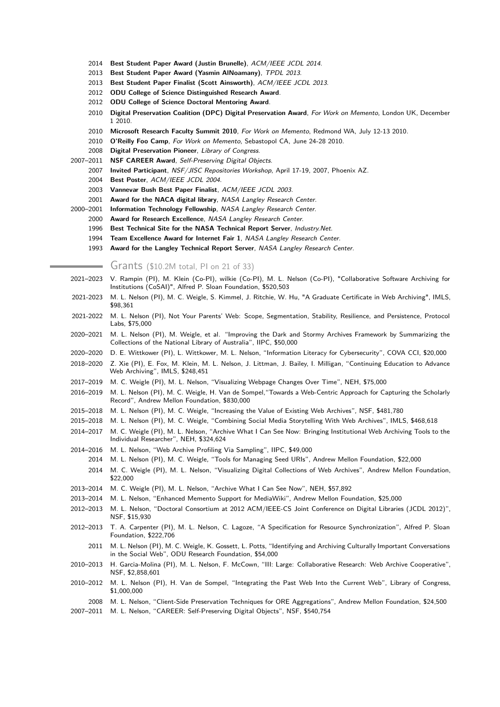- 2014 **Best Student Paper Award (Justin Brunelle)**, ACM/IEEE JCDL 2014.
- 2013 **Best Student Paper Award (Yasmin AlNoamany)**, TPDL 2013.
- 2013 **Best Student Paper Finalist (Scott Ainsworth)**, ACM/IEEE JCDL 2013.
- 2012 **ODU College of Science Distinguished Research Award**.
- 2012 **ODU College of Science Doctoral Mentoring Award**.
- 2010 **Digital Preservation Coalition (DPC) Digital Preservation Award**, For Work on Memento, London UK, December 1 2010.
- 2010 **Microsoft Research Faculty Summit 2010**, For Work on Memento, Redmond WA, July 12-13 2010.
- 2010 **O'Reilly Foo Camp**, For Work on Memento, Sebastopol CA, June 24-28 2010.
- 2008 **Digital Preservation Pioneer**, Library of Congress.
- 2007–2011 **NSF CAREER Award**, Self-Preserving Digital Objects.
	- 2007 **Invited Participant**, NSF/JISC Repositories Workshop, April 17-19, 2007, Phoenix AZ.
	- 2004 **Best Poster**, ACM/IEEE JCDL 2004.
	- 2003 **Vannevar Bush Best Paper Finalist**, ACM/IEEE JCDL 2003.
	- 2001 **Award for the NACA digital library**, NASA Langley Research Center.
- 2000–2001 **Information Technology Fellowship**, NASA Langley Research Center.
	- 2000 **Award for Research Excellence**, NASA Langley Research Center.
	- 1996 **Best Technical Site for the NASA Technical Report Server**, Industry.Net.
	- 1994 **Team Excellence Award for Internet Fair 1**, NASA Langley Research Center.
	- 1993 **Award for the Langley Technical Report Server**, NASA Langley Research Center.

Grants (\$10.2M total, PI on 21 of 33)

- 2021–2023 V. Rampin (PI), M. Klein (Co-PI), wilkie (Co-PI), M. L. Nelson (Co-PI), "Collaborative Software Archiving for Institutions (CoSAI)", Alfred P. Sloan Foundation, \$520,503
- 2021-2023 M. L. Nelson (PI), M. C. Weigle, S. Kimmel, J. Ritchie, W. Hu, "A Graduate Certificate in Web Archiving", IMLS, \$98,361
- 2021-2022 M. L. Nelson (PI), Not Your Parents' Web: Scope, Segmentation, Stability, Resilience, and Persistence, Protocol Labs, \$75,000
- 2020–2021 M. L. Nelson (PI), M. Weigle, et al. "Improving the Dark and Stormy Archives Framework by Summarizing the Collections of the National Library of Australia", IIPC, \$50,000
- 2020–2020 D. E. Wittkower (PI), L. Wittkower, M. L. Nelson, "Information Literacy for Cybersecurity", COVA CCI, \$20,000
- 2018–2020 Z. Xie (PI), E. Fox, M. Klein, M. L. Nelson, J. Littman, J. Bailey, I. Milligan, "Continuing Education to Advance Web Archiving", IMLS, \$248,451
- 2017–2019 M. C. Weigle (PI), M. L. Nelson, "Visualizing Webpage Changes Over Time", NEH, \$75,000
- 2016–2019 M. L. Nelson (PI), M. C. Weigle, H. Van de Sompel,"Towards a Web-Centric Approach for Capturing the Scholarly Record", Andrew Mellon Foundation, \$830,000
- 2015–2018 M. L. Nelson (PI), M. C. Weigle, "Increasing the Value of Existing Web Archives", NSF, \$481,780
- 2015–2018 M. L. Nelson (PI), M. C. Weigle, "Combining Social Media Storytelling With Web Archives", IMLS, \$468,618
- 2014–2017 M. C. Weigle (PI), M. L. Nelson, "Archive What I Can See Now: Bringing Institutional Web Archiving Tools to the Individual Researcher", NEH, \$324,624
- 2014–2016 M. L. Nelson, "Web Archive Profiling Via Sampling", IIPC, \$49,000
	- 2014 M. L. Nelson (PI), M. C. Weigle, "Tools for Managing Seed URIs", Andrew Mellon Foundation, \$22,000
- 2014 M. C. Weigle (PI), M. L. Nelson, "Visualizing Digital Collections of Web Archives", Andrew Mellon Foundation, \$22,000
- 2013–2014 M. C. Weigle (PI), M. L. Nelson, "Archive What I Can See Now", NEH, \$57,892
- 2013–2014 M. L. Nelson, "Enhanced Memento Support for MediaWiki", Andrew Mellon Foundation, \$25,000
- 2012–2013 M. L. Nelson, "Doctoral Consortium at 2012 ACM/IEEE-CS Joint Conference on Digital Libraries (JCDL 2012)", NSF, \$15,930
- 2012–2013 T. A. Carpenter (PI), M. L. Nelson, C. Lagoze, "A Specification for Resource Synchronization", Alfred P. Sloan Foundation, \$222,706
	- 2011 M. L. Nelson (PI), M. C. Weigle, K. Gossett, L. Potts, "Identifying and Archiving Culturally Important Conversations in the Social Web", ODU Research Foundation, \$54,000
- 2010–2013 H. Garcia-Molina (PI), M. L. Nelson, F. McCown, "III: Large: Collaborative Research: Web Archive Cooperative", NSF, \$2,858,601
- 2010–2012 M. L. Nelson (PI), H. Van de Sompel, "Integrating the Past Web Into the Current Web", Library of Congress, \$1,000,000
- 2008 M. L. Nelson, "Client-Side Preservation Techniques for ORE Aggregations", Andrew Mellon Foundation, \$24,500
- 2007–2011 M. L. Nelson, "CAREER: Self-Preserving Digital Objects", NSF, \$540,754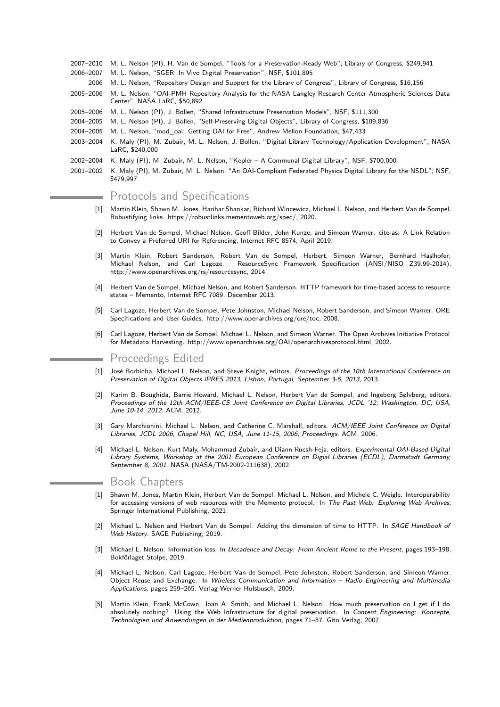- 2007–2010 M. L. Nelson (PI), H. Van de Sompel, "Tools for a Preservation-Ready Web", Library of Congress, \$249,941
- 2006–2007 M. L. Nelson, "SGER: In Vivo Digital Preservation", NSF, \$101,895
- 2006 M. L. Nelson, "Repository Design and Support for the Library of Congress", Library of Congress, \$16,156
- 2005–2006 M. L. Nelson, "OAI-PMH Repository Analysis for the NASA Langley Research Center Atmospheric Sciences Data Center", NASA LaRC, \$50,892
- 2005–2006 M. L. Nelson (PI), J. Bollen, "Shared Infrastructure Preservation Models", NSF, \$111,300
- 2004–2005 M. L. Nelson (PI), J. Bollen, "Self-Preserving Digital Objects", Library of Congress, \$109,836
- 2004–2005 M. L. Nelson, "mod\_oai: Getting OAI for Free", Andrew Mellon Foundation, \$47,433
- 2003–2004 K. Maly (PI), M. Zubair, M. L. Nelson, J. Bollen, "Digital Library Technology/Application Development", NASA LaRC, \$240,000
- 2002–2004 K. Maly (PI), M. Zubair, M. L. Nelson, "Kepler A Communal Digital Library", NSF, \$700,000
- 2001–2002 K. Maly (PI), M. Zubair, M. L. Nelson, "An OAI-Compliant Federated Physics Digital Library for the NSDL", NSF, \$479,997

## Protocols and Specifications

- [1] Martin Klein, Shawn M. Jones, Harihar Shankar, Richard Wincewicz, Michael L. Nelson, and Herbert Van de Sompel. Robustifying links. https://robustlinks.mementoweb.org/spec/, 2020.
- Herbert Van de Sompel, Michael Nelson, Geoff Bilder, John Kunze, and Simeon Warner. cite-as: A Link Relation to Convey a Preferred URI for Referencing, Internet RFC 8574, April 2019.
- [3] Martin Klein, Robert Sanderson, Robert Van de Sompel, Herbert, Simeon Warner, Bernhard Haslhofer, Michael Nelson, and Carl Lagoze. ResourceSync Framework Specification (ANSI/NISO Z39.99-2014). http://www.openarchives.org/rs/resourcesync, 2014.
- [4] Herbert Van de Sompel, Michael Nelson, and Robert Sanderson. HTTP framework for time-based access to resource states – Memento, Internet RFC 7089, December 2013.
- [5] Carl Lagoze, Herbert Van de Sompel, Pete Johnston, Michael Nelson, Robert Sanderson, and Simeon Warner. ORE Specifications and User Guides. http://www.openarchives.org/ore/toc, 2008.
- [6] Carl Lagoze, Herbert Van de Sompel, Michael L. Nelson, and Simeon Warner. The Open Archives Initiative Protocol for Metadata Harvesting. http://www.openarchives.org/OAI/openarchivesprotocol.html, 2002.

## Proceedings Edited

- [1] José Borbinha, Michael L. Nelson, and Steve Knight, editors. Proceedings of the 10th International Conference on Preservation of Digital Objects iPRES 2013, Lisbon, Portugal, September 3-5, 2013, 2013.
- [2] Karim B. Boughida, Barrie Howard, Michael L. Nelson, Herbert Van de Sompel, and Ingeborg Sølvberg, editors. Proceedings of the 12th ACM/IEEE-CS Joint Conference on Digital Libraries, JCDL '12, Washington, DC, USA, June 10-14, 2012. ACM, 2012.
- Gary Marchionini, Michael L. Nelson, and Catherine C. Marshall, editors. ACM/IEEE Joint Conference on Digital Libraries, JCDL 2006, Chapel Hill, NC, USA, June 11-15, 2006, Proceedings. ACM, 2006.
- [4] Michael L. Nelson, Kurt Maly, Mohammad Zubair, and Diann Rucsh-Feja, editors. Experimental OAI-Based Digital Library Systems, Workshop at the 2001 European Conference on Digial Libraries (ECDL), Darmstadt Germany, September 8, 2001. NASA (NASA/TM-2002-211638), 2002.

## Book Chapters

- [1] Shawn M. Jones, Martin Klein, Herbert Van de Sompel, Michael L. Nelson, and Michele C. Weigle. Interoperability for accessing versions of web resources with the Memento protocol. In The Past Web: Exploring Web Archives. Springer International Publishing, 2021.
- [2] Michael L. Nelson and Herbert Van de Sompel. Adding the dimension of time to HTTP. In SAGE Handbook of Web History. SAGE Publishing, 2019.
- [3] Michael L. Nelson. Information loss. In Decadence and Decay: From Ancient Rome to the Present, pages 193-198. Bokförlaget Stolpe, 2019.
- [4] Michael L. Nelson, Carl Lagoze, Herbert Van de Sompel, Pete Johnston, Robert Sanderson, and Simeon Warner. Object Reuse and Exchange. In Wireless Communication and Information – Radio Engineering and Multimedia Applications, pages 259–265. Verlag Werner Hulsbusch, 2009.
- [5] Martin Klein, Frank McCown, Joan A. Smith, and Michael L. Nelson. How much preservation do I get if I do absolutely nothing? Using the Web Infrastructure for digital preservation. In Content Engineering: Konzepte, Technologien und Anwendungen in der Medienproduktion, pages 71–87. Gito Verlag, 2007.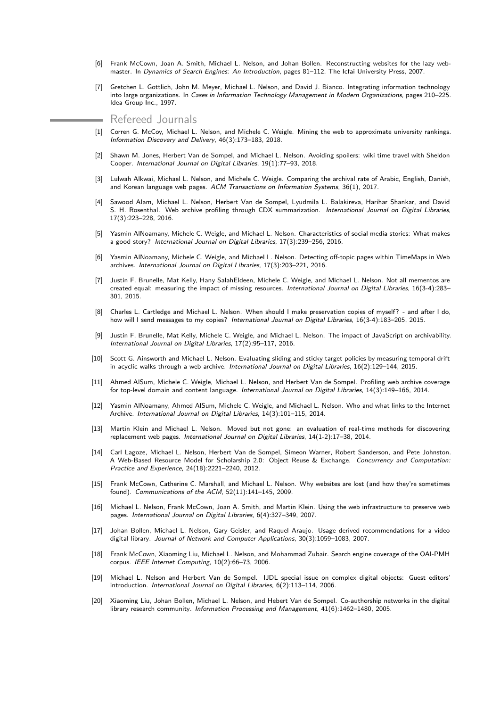- Frank McCown, Joan A. Smith, Michael L. Nelson, and Johan Bollen. Reconstructing websites for the lazy webmaster. In Dynamics of Search Engines: An Introduction, pages 81-112. The Icfai University Press, 2007.
- [7] Gretchen L. Gottlich, John M. Meyer, Michael L. Nelson, and David J. Bianco. Integrating information technology into large organizations. In Cases in Information Technology Management in Modern Organizations, pages 210–225. Idea Group Inc., 1997.

Refereed Journals

- [1] Corren G. McCoy, Michael L. Nelson, and Michele C. Weigle. Mining the web to approximate university rankings. Information Discovery and Delivery, 46(3):173–183, 2018.
- [2] Shawn M. Jones, Herbert Van de Sompel, and Michael L. Nelson. Avoiding spoilers: wiki time travel with Sheldon Cooper. International Journal on Digital Libraries, 19(1):77–93, 2018.
- [3] Lulwah Alkwai, Michael L. Nelson, and Michele C. Weigle. Comparing the archival rate of Arabic, English, Danish, and Korean language web pages. ACM Transactions on Information Systems, 36(1), 2017.
- [4] Sawood Alam, Michael L. Nelson, Herbert Van de Sompel, Lyudmila L. Balakireva, Harihar Shankar, and David S. H. Rosenthal. Web archive profiling through CDX summarization. International Journal on Digital Libraries, 17(3):223–228, 2016.
- [5] Yasmin AlNoamany, Michele C. Weigle, and Michael L. Nelson. Characteristics of social media stories: What makes a good story? International Journal on Digital Libraries, 17(3):239–256, 2016.
- [6] Yasmin AlNoamany, Michele C. Weigle, and Michael L. Nelson. Detecting off-topic pages within TimeMaps in Web archives. International Journal on Digital Libraries, 17(3):203–221, 2016.
- [7] Justin F. Brunelle, Mat Kelly, Hany SalahEldeen, Michele C. Weigle, and Michael L. Nelson. Not all mementos are created equal: measuring the impact of missing resources. International Journal on Digital Libraries, 16(3-4):283– 301, 2015.
- [8] Charles L. Cartledge and Michael L. Nelson. When should I make preservation copies of myself? and after I do, how will I send messages to my copies? International Journal on Digital Libraries, 16(3-4):183-205, 2015.
- [9] Justin F. Brunelle, Mat Kelly, Michele C. Weigle, and Michael L. Nelson. The impact of JavaScript on archivability. International Journal on Digital Libraries, 17(2):95–117, 2016.
- [10] Scott G. Ainsworth and Michael L. Nelson. Evaluating sliding and sticky target policies by measuring temporal drift in acyclic walks through a web archive. International Journal on Digital Libraries, 16(2):129–144, 2015.
- [11] Ahmed AlSum, Michele C. Weigle, Michael L. Nelson, and Herbert Van de Sompel. Profiling web archive coverage for top-level domain and content language. International Journal on Digital Libraries, 14(3):149–166, 2014.
- [12] Yasmin AlNoamany, Ahmed AlSum, Michele C. Weigle, and Michael L. Nelson. Who and what links to the Internet Archive. International Journal on Digital Libraries, 14(3):101–115, 2014.
- [13] Martin Klein and Michael L. Nelson. Moved but not gone: an evaluation of real-time methods for discovering replacement web pages. International Journal on Digital Libraries, 14(1-2):17–38, 2014.
- [14] Carl Lagoze, Michael L. Nelson, Herbert Van de Sompel, Simeon Warner, Robert Sanderson, and Pete Johnston. A Web-Based Resource Model for Scholarship 2.0: Object Reuse & Exchange. Concurrency and Computation: Practice and Experience, 24(18):2221–2240, 2012.
- [15] Frank McCown, Catherine C. Marshall, and Michael L. Nelson. Why websites are lost (and how they're sometimes found). Communications of the ACM, 52(11):141–145, 2009.
- [16] Michael L. Nelson, Frank McCown, Joan A. Smith, and Martin Klein. Using the web infrastructure to preserve web pages. International Journal on Digital Libraries, 6(4):327–349, 2007.
- [17] Johan Bollen, Michael L. Nelson, Gary Geisler, and Raquel Araujo. Usage derived recommendations for a video digital library. Journal of Network and Computer Applications, 30(3):1059–1083, 2007.
- [18] Frank McCown, Xiaoming Liu, Michael L. Nelson, and Mohammad Zubair. Search engine coverage of the OAI-PMH corpus. IEEE Internet Computing, 10(2):66–73, 2006.
- [19] Michael L. Nelson and Herbert Van de Sompel. IJDL special issue on complex digital objects: Guest editors' introduction. International Journal on Digital Libraries, 6(2):113–114, 2006.
- [20] Xiaoming Liu, Johan Bollen, Michael L. Nelson, and Hebert Van de Sompel. Co-authorship networks in the digital library research community. Information Processing and Management, 41(6):1462–1480, 2005.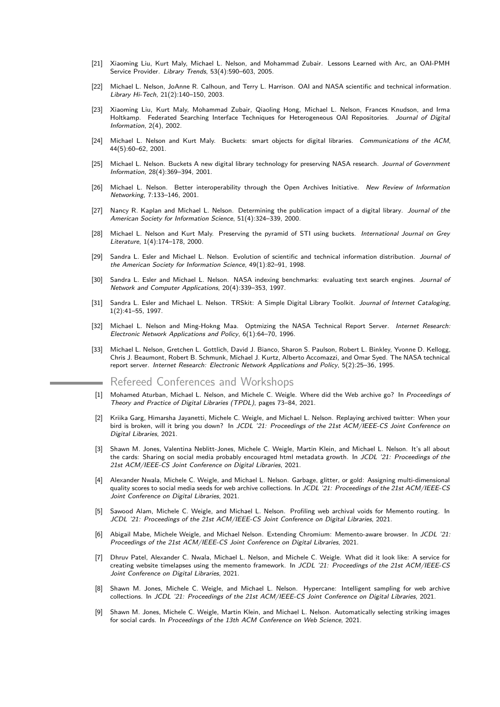- [21] Xiaoming Liu, Kurt Maly, Michael L. Nelson, and Mohammad Zubair. Lessons Learned with Arc, an OAI-PMH Service Provider. Library Trends, 53(4):590-603, 2005.
- [22] Michael L. Nelson, JoAnne R. Calhoun, and Terry L. Harrison. OAI and NASA scientific and technical information. Library Hi-Tech, 21(2):140–150, 2003.
- [23] Xiaoming Liu, Kurt Maly, Mohammad Zubair, Qiaoling Hong, Michael L. Nelson, Frances Knudson, and Irma Holtkamp. Federated Searching Interface Techniques for Heterogeneous OAI Repositories. Journal of Digital Information, 2(4), 2002.
- [24] Michael L. Nelson and Kurt Maly. Buckets: smart objects for digital libraries. Communications of the ACM, 44(5):60–62, 2001.
- [25] Michael L. Nelson. Buckets A new digital library technology for preserving NASA research. Journal of Government Information, 28(4):369–394, 2001.
- [26] Michael L. Nelson. Better interoperability through the Open Archives Initiative. New Review of Information Networking, 7:133–146, 2001.
- [27] Nancy R. Kaplan and Michael L. Nelson. Determining the publication impact of a digital library. Journal of the American Society for Information Science, 51(4):324–339, 2000.
- [28] Michael L. Nelson and Kurt Maly. Preserving the pyramid of STI using buckets. International Journal on Grey Literature, 1(4):174–178, 2000.
- [29] Sandra L. Esler and Michael L. Nelson. Evolution of scientific and technical information distribution. Journal of the American Society for Information Science, 49(1):82–91, 1998.
- [30] Sandra L. Esler and Michael L. Nelson. NASA indexing benchmarks: evaluating text search engines. Journal of Network and Computer Applications, 20(4):339–353, 1997.
- [31] Sandra L. Esler and Michael L. Nelson. TRSkit: A Simple Digital Library Toolkit. Journal of Internet Cataloging, 1(2):41–55, 1997.
- [32] Michael L. Nelson and Ming-Hokng Maa. Optmizing the NASA Technical Report Server. Internet Research: Electronic Network Applications and Policy, 6(1):64–70, 1996.
- [33] Michael L. Nelson, Gretchen L. Gottlich, David J. Bianco, Sharon S. Paulson, Robert L. Binkley, Yvonne D. Kellogg, Chris J. Beaumont, Robert B. Schmunk, Michael J. Kurtz, Alberto Accomazzi, and Omar Syed. The NASA technical report server. Internet Research: Electronic Network Applications and Policy, 5(2):25–36, 1995.
	- Refereed Conferences and Workshops
- [1] Mohamed Aturban, Michael L. Nelson, and Michele C. Weigle. Where did the Web archive go? In Proceedings of Theory and Practice of Digital Libraries (TPDL), pages 73–84, 2021.
- [2] Kriika Garg, Himarsha Jayanetti, Michele C. Weigle, and Michael L. Nelson. Replaying archived twitter: When your bird is broken, will it bring you down? In JCDL '21: Proceedings of the 21st ACM/IEEE-CS Joint Conference on Digital Libraries, 2021.
- [3] Shawn M. Jones, Valentina Neblitt-Jones, Michele C. Weigle, Martin Klein, and Michael L. Nelson. It's all about the cards: Sharing on social media probably encouraged html metadata growth. In JCDL '21: Proceedings of the 21st ACM/IEEE-CS Joint Conference on Digital Libraries, 2021.
- [4] Alexander Nwala, Michele C. Weigle, and Michael L. Nelson. Garbage, glitter, or gold: Assigning multi-dimensional quality scores to social media seeds for web archive collections. In JCDL '21: Proceedings of the 21st ACM/IEEE-CS Joint Conference on Digital Libraries, 2021.
- [5] Sawood Alam, Michele C. Weigle, and Michael L. Nelson. Profiling web archival voids for Memento routing. In JCDL '21: Proceedings of the 21st ACM/IEEE-CS Joint Conference on Digital Libraries, 2021.
- Abigail Mabe, Michele Weigle, and Michael Nelson. Extending Chromium: Memento-aware browser. In JCDL '21: Proceedings of the 21st ACM/IEEE-CS Joint Conference on Digital Libraries, 2021.
- [7] Dhruv Patel, Alexander C. Nwala, Michael L. Nelson, and Michele C. Weigle. What did it look like: A service for creating website timelapses using the memento framework. In JCDL '21: Proceedings of the 21st ACM/IEEE-CS Joint Conference on Digital Libraries, 2021.
- [8] Shawn M. Jones, Michele C. Weigle, and Michael L. Nelson. Hypercane: Intelligent sampling for web archive collections. In JCDL '21: Proceedings of the 21st ACM/IEEE-CS Joint Conference on Digital Libraries, 2021.
- [9] Shawn M. Jones, Michele C. Weigle, Martin Klein, and Michael L. Nelson. Automatically selecting striking images for social cards. In Proceedings of the 13th ACM Conference on Web Science, 2021.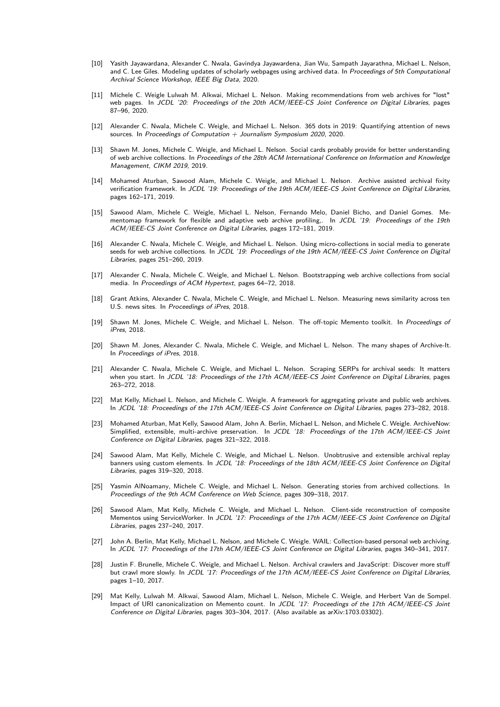- [10] Yasith Jayawardana, Alexander C. Nwala, Gavindya Jayawardena, Jian Wu, Sampath Jayarathna, Michael L. Nelson, and C. Lee Giles. Modeling updates of scholarly webpages using archived data. In Proceedings of 5th Computational Archival Science Workshop, IEEE Big Data, 2020.
- [11] Michele C. Weigle Lulwah M. Alkwai, Michael L. Nelson. Making recommendations from web archives for "lost" web pages. In JCDL '20: Proceedings of the 20th ACM/IEEE-CS Joint Conference on Digital Libraries, pages 87–96, 2020.
- [12] Alexander C. Nwala, Michele C. Weigle, and Michael L. Nelson. 365 dots in 2019: Quantifying attention of news sources. In Proceedings of Computation  $+$  Journalism Symposium 2020, 2020.
- [13] Shawn M. Jones, Michele C. Weigle, and Michael L. Nelson. Social cards probably provide for better understanding of web archive collections. In Proceedings of the 28th ACM International Conference on Information and Knowledge Management, CIKM 2019, 2019.
- [14] Mohamed Aturban, Sawood Alam, Michele C. Weigle, and Michael L. Nelson. Archive assisted archival fixity verification framework. In JCDL '19: Proceedings of the 19th ACM/IEEE-CS Joint Conference on Digital Libraries, pages 162–171, 2019.
- [15] Sawood Alam, Michele C. Weigle, Michael L. Nelson, Fernando Melo, Daniel Bicho, and Daniel Gomes. Mementomap framework for flexible and adaptive web archive profiling,. In JCDL '19: Proceedings of the 19th ACM/IEEE-CS Joint Conference on Digital Libraries, pages 172–181, 2019.
- [16] Alexander C. Nwala, Michele C. Weigle, and Michael L. Nelson. Using micro-collections in social media to generate seeds for web archive collections. In JCDL '19: Proceedings of the 19th ACM/IEEE-CS Joint Conference on Digital Libraries, pages 251–260, 2019.
- [17] Alexander C. Nwala, Michele C. Weigle, and Michael L. Nelson. Bootstrapping web archive collections from social media. In Proceedings of ACM Hypertext, pages 64–72, 2018.
- Grant Atkins, Alexander C. Nwala, Michele C. Weigle, and Michael L. Nelson. Measuring news similarity across ten U.S. news sites. In Proceedings of iPres, 2018.
- [19] Shawn M. Jones, Michele C. Weigle, and Michael L. Nelson. The off-topic Memento toolkit. In Proceedings of iPres, 2018.
- [20] Shawn M. Jones, Alexander C. Nwala, Michele C. Weigle, and Michael L. Nelson. The many shapes of Archive-It. In Proceedings of iPres, 2018.
- [21] Alexander C. Nwala, Michele C. Weigle, and Michael L. Nelson. Scraping SERPs for archival seeds: It matters when you start. In JCDL '18: Proceedings of the 17th ACM/IEEE-CS Joint Conference on Digital Libraries, pages 263–272, 2018.
- Mat Kelly, Michael L. Nelson, and Michele C. Weigle. A framework for aggregating private and public web archives. In JCDL '18: Proceedings of the 17th ACM/IEEE-CS Joint Conference on Digital Libraries, pages 273–282, 2018.
- [23] Mohamed Aturban, Mat Kelly, Sawood Alam, John A. Berlin, Michael L. Nelson, and Michele C. Weigle. ArchiveNow: Simplified, extensible, multi-archive preservation. In JCDL '18: Proceedings of the 17th ACM/IEEE-CS Joint Conference on Digital Libraries, pages 321–322, 2018.
- [24] Sawood Alam, Mat Kelly, Michele C. Weigle, and Michael L. Nelson. Unobtrusive and extensible archival replay banners using custom elements. In JCDL '18: Proceedings of the 18th ACM/IEEE-CS Joint Conference on Digital Libraries, pages 319–320, 2018.
- [25] Yasmin AlNoamany, Michele C. Weigle, and Michael L. Nelson. Generating stories from archived collections. In Proceedings of the 9th ACM Conference on Web Science, pages 309–318, 2017.
- [26] Sawood Alam, Mat Kelly, Michele C. Weigle, and Michael L. Nelson. Client-side reconstruction of composite Mementos using ServiceWorker. In JCDL '17: Proceedings of the 17th ACM/IEEE-CS Joint Conference on Digital Libraries, pages 237–240, 2017.
- [27] John A. Berlin, Mat Kelly, Michael L. Nelson, and Michele C. Weigle. WAIL: Collection-based personal web archiving. In JCDL '17: Proceedings of the 17th ACM/IEEE-CS Joint Conference on Digital Libraries, pages 340–341, 2017.
- [28] Justin F. Brunelle, Michele C. Weigle, and Michael L. Nelson. Archival crawlers and JavaScript: Discover more stuff but crawl more slowly. In JCDL '17: Proceedings of the 17th ACM/IEEE-CS Joint Conference on Digital Libraries, pages 1–10, 2017.
- [29] Mat Kelly, Lulwah M. Alkwai, Sawood Alam, Michael L. Nelson, Michele C. Weigle, and Herbert Van de Sompel. Impact of URI canonicalization on Memento count. In JCDL '17: Proceedings of the 17th ACM/IEEE-CS Joint Conference on Digital Libraries, pages 303–304, 2017. (Also available as arXiv:1703.03302).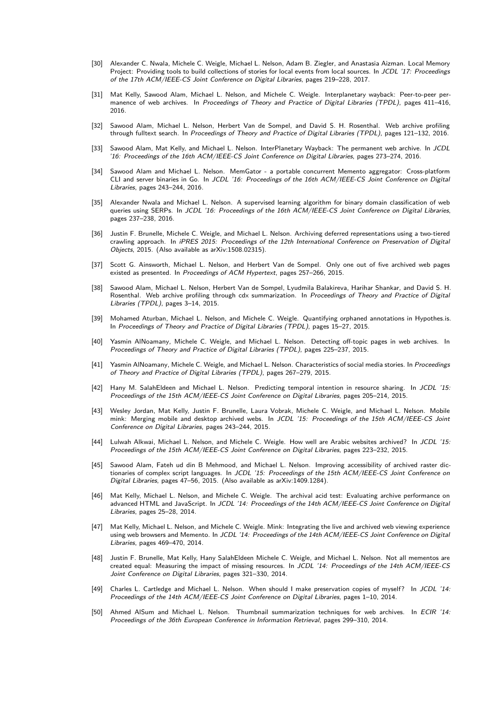- [30] Alexander C. Nwala, Michele C. Weigle, Michael L. Nelson, Adam B. Ziegler, and Anastasia Aizman. Local Memory Project: Providing tools to build collections of stories for local events from local sources. In JCDL '17: Proceedings of the 17th ACM/IEEE-CS Joint Conference on Digital Libraries, pages 219–228, 2017.
- [31] Mat Kelly, Sawood Alam, Michael L. Nelson, and Michele C. Weigle. Interplanetary wayback: Peer-to-peer permanence of web archives. In Proceedings of Theory and Practice of Digital Libraries (TPDL), pages 411-416, 2016.
- [32] Sawood Alam, Michael L. Nelson, Herbert Van de Sompel, and David S. H. Rosenthal. Web archive profiling through fulltext search. In Proceedings of Theory and Practice of Digital Libraries (TPDL), pages 121–132, 2016.
- [33] Sawood Alam, Mat Kelly, and Michael L. Nelson. InterPlanetary Wayback: The permanent web archive. In JCDL '16: Proceedings of the 16th ACM/IEEE-CS Joint Conference on Digital Libraries, pages 273–274, 2016.
- [34] Sawood Alam and Michael L. Nelson. MemGator a portable concurrent Memento aggregator: Cross-platform CLI and server binaries in Go. In JCDL '16: Proceedings of the 16th ACM/IEEE-CS Joint Conference on Digital Libraries, pages 243–244, 2016.
- [35] Alexander Nwala and Michael L. Nelson. A supervised learning algorithm for binary domain classification of web queries using SERPs. In JCDL '16: Proceedings of the 16th ACM/IEEE-CS Joint Conference on Digital Libraries, pages 237–238, 2016.
- [36] Justin F. Brunelle, Michele C. Weigle, and Michael L. Nelson. Archiving deferred representations using a two-tiered crawling approach. In iPRES 2015: Proceedings of the 12th International Conference on Preservation of Digital Objects, 2015. (Also available as arXiv:1508.02315).
- [37] Scott G. Ainsworth, Michael L. Nelson, and Herbert Van de Sompel. Only one out of five archived web pages existed as presented. In Proceedings of ACM Hypertext, pages 257–266, 2015.
- [38] Sawood Alam, Michael L. Nelson, Herbert Van de Sompel, Lyudmila Balakireva, Harihar Shankar, and David S. H. Rosenthal. Web archive profiling through cdx summarization. In Proceedings of Theory and Practice of Digital Libraries (TPDL), pages 3–14, 2015.
- [39] Mohamed Aturban, Michael L. Nelson, and Michele C. Weigle. Quantifying orphaned annotations in Hypothes.is. In Proceedings of Theory and Practice of Digital Libraries (TPDL), pages 15–27, 2015.
- [40] Yasmin AlNoamany, Michele C. Weigle, and Michael L. Nelson. Detecting off-topic pages in web archives. In Proceedings of Theory and Practice of Digital Libraries (TPDL), pages 225–237, 2015.
- [41] Yasmin AlNoamany, Michele C. Weigle, and Michael L. Nelson. Characteristics of social media stories. In Proceedings of Theory and Practice of Digital Libraries (TPDL), pages 267–279, 2015.
- [42] Hany M. SalahEldeen and Michael L. Nelson. Predicting temporal intention in resource sharing. In JCDL '15: Proceedings of the 15th ACM/IEEE-CS Joint Conference on Digital Libraries, pages 205–214, 2015.
- [43] Wesley Jordan, Mat Kelly, Justin F. Brunelle, Laura Vobrak, Michele C. Weigle, and Michael L. Nelson. Mobile mink: Merging mobile and desktop archived webs. In JCDL '15: Proceedings of the 15th ACM/IEEE-CS Joint Conference on Digital Libraries, pages 243–244, 2015.
- [44] Lulwah Alkwai, Michael L. Nelson, and Michele C. Weigle. How well are Arabic websites archived? In JCDL '15: Proceedings of the 15th ACM/IEEE-CS Joint Conference on Digital Libraries, pages 223–232, 2015.
- [45] Sawood Alam, Fateh ud din B Mehmood, and Michael L. Nelson. Improving accessibility of archived raster dictionaries of complex script languages. In JCDL '15: Proceedings of the 15th ACM/IEEE-CS Joint Conference on Digital Libraries, pages 47–56, 2015. (Also available as arXiv:1409.1284).
- [46] Mat Kelly, Michael L. Nelson, and Michele C. Weigle. The archival acid test: Evaluating archive performance on advanced HTML and JavaScript. In JCDL '14: Proceedings of the 14th ACM/IEEE-CS Joint Conference on Digital Libraries, pages 25–28, 2014.
- [47] Mat Kelly, Michael L. Nelson, and Michele C. Weigle. Mink: Integrating the live and archived web viewing experience using web browsers and Memento. In JCDL '14: Proceedings of the 14th ACM/IEEE-CS Joint Conference on Digital Libraries, pages 469–470, 2014.
- [48] Justin F. Brunelle, Mat Kelly, Hany SalahEldeen Michele C. Weigle, and Michael L. Nelson. Not all mementos are created equal: Measuring the impact of missing resources. In JCDL '14: Proceedings of the 14th ACM/IEEE-CS Joint Conference on Digital Libraries, pages 321–330, 2014.
- [49] Charles L. Cartledge and Michael L. Nelson. When should I make preservation copies of myself? In JCDL '14: Proceedings of the 14th ACM/IEEE-CS Joint Conference on Digital Libraries, pages 1–10, 2014.
- [50] Ahmed AlSum and Michael L. Nelson. Thumbnail summarization techniques for web archives. In ECIR '14: Proceedings of the 36th European Conference in Information Retrieval, pages 299–310, 2014.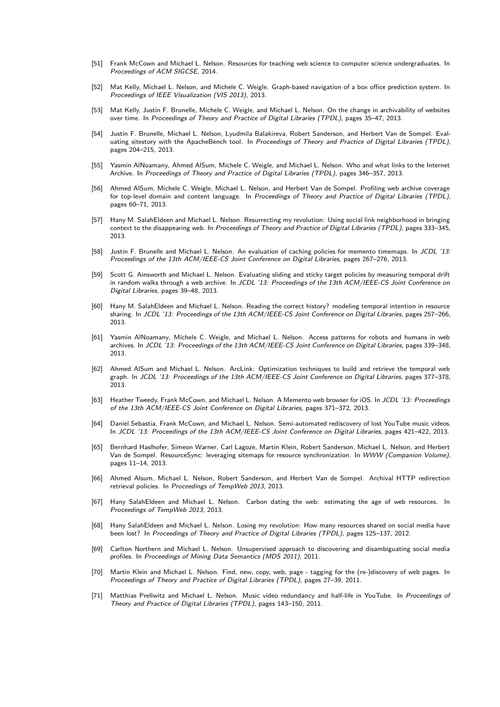- [51] Frank McCown and Michael L. Nelson. Resources for teaching web science to computer science undergraduates. In Proceedings of ACM SIGCSE, 2014.
- [52] Mat Kelly, Michael L. Nelson, and Michele C. Weigle. Graph-based navigation of a box office prediction system. In Proceedings of IEEE Visualization (VIS 2013), 2013.
- [53] Mat Kelly, Justin F. Brunelle, Michele C. Weigle, and Michael L. Nelson. On the change in archivability of websites over time. In Proceedings of Theory and Practice of Digital Libraries (TPDL), pages 35–47, 2013.
- [54] Justin F. Brunelle, Michael L. Nelson, Lyudmila Balakireva, Robert Sanderson, and Herbert Van de Sompel. Evaluating sitestory with the ApacheBench tool. In Proceedings of Theory and Practice of Digital Libraries (TPDL), pages 204–215, 2013.
- [55] Yasmin AlNoamany, Ahmed AlSum, Michele C. Weigle, and Michael L. Nelson. Who and what links to the Internet Archive. In Proceedings of Theory and Practice of Digital Libraries (TPDL), pages 346–357, 2013.
- [56] Ahmed AlSum, Michele C. Weigle, Michael L. Nelson, and Herbert Van de Sompel. Profiling web archive coverage for top-level domain and content language. In Proceedings of Theory and Practice of Digital Libraries (TPDL), pages 60–71, 2013.
- [57] Hany M. SalahEldeen and Michael L. Nelson. Resurrecting my revolution: Using social link neighborhood in bringing context to the disappearing web. In Proceedings of Theory and Practice of Digital Libraries (TPDL), pages 333-345, 2013.
- Justin F. Brunelle and Michael L. Nelson. An evaluation of caching policies for memento timemaps. In JCDL '13: Proceedings of the 13th ACM/IEEE-CS Joint Conference on Digital Libraries, pages 267–276, 2013.
- [59] Scott G. Ainsworth and Michael L. Nelson. Evaluating sliding and sticky target policies by measuring temporal drift in random walks through a web archive. In JCDL '13: Proceedings of the 13th ACM/IEEE-CS Joint Conference on Digital Libraries, pages 39–48, 2013.
- [60] Hany M. SalahEldeen and Michael L. Nelson. Reading the correct history? modeling temporal intention in resource sharing. In JCDL '13: Proceedings of the 13th ACM/IEEE-CS Joint Conference on Digital Libraries, pages 257-266, 2013.
- [61] Yasmin AlNoamany, Michele C. Weigle, and Michael L. Nelson. Access patterns for robots and humans in web archives. In JCDL '13: Proceedings of the 13th ACM/IEEE-CS Joint Conference on Digital Libraries, pages 339-348, 2013.
- [62] Ahmed AlSum and Michael L. Nelson. ArcLink: Optimization techniques to build and retrieve the temporal web graph. In JCDL '13: Proceedings of the 13th ACM/IEEE-CS Joint Conference on Digital Libraries, pages 377–378, 2013.
- [63] Heather Tweedy, Frank McCown, and Michael L. Nelson. A Memento web browser for iOS. In JCDL '13: Proceedings of the 13th ACM/IEEE-CS Joint Conference on Digital Libraries, pages 371–372, 2013.
- [64] Daniel Sebastia, Frank McCown, and Michael L. Nelson. Semi-automated rediscovery of lost YouTube music videos. In JCDL '13: Proceedings of the 13th ACM/IEEE-CS Joint Conference on Digital Libraries, pages 421–422, 2013.
- [65] Bernhard Haslhofer, Simeon Warner, Carl Lagoze, Martin Klein, Robert Sanderson, Michael L. Nelson, and Herbert Van de Sompel. ResourceSync: leveraging sitemaps for resource synchronization. In WWW (Companion Volume), pages 11–14, 2013.
- [66] Ahmed Alsum, Michael L. Nelson, Robert Sanderson, and Herbert Van de Sompel. Archival HTTP redirection retrieval policies. In Proceedings of TempWeb 2013, 2013.
- [67] Hany SalahEldeen and Michael L. Nelson. Carbon dating the web: estimating the age of web resources. In Proceedings of TempWeb 2013, 2013.
- [68] Hany SalahEldeen and Michael L. Nelson. Losing my revolution: How many resources shared on social media have been lost? In Proceedings of Theory and Practice of Digital Libraries (TPDL), pages 125–137, 2012.
- [69] Carlton Northern and Michael L. Nelson. Unsupervised approach to discovering and disambiguating social media profiles. In Proceedings of Mining Data Semantics (MDS 2011), 2011.
- Martin Klein and Michael L. Nelson. Find, new, copy, web, page tagging for the (re-)discovery of web pages. In Proceedings of Theory and Practice of Digital Libraries (TPDL), pages 27–39, 2011.
- [71] Matthias Prellwitz and Michael L. Nelson. Music video redundancy and half-life in YouTube. In Proceedings of Theory and Practice of Digital Libraries (TPDL), pages 143–150, 2011.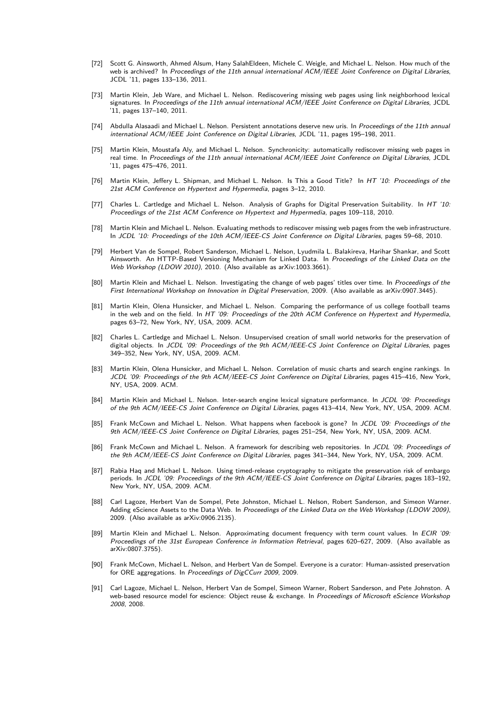- [72] Scott G. Ainsworth, Ahmed Alsum, Hany SalahEldeen, Michele C. Weigle, and Michael L. Nelson. How much of the web is archived? In Proceedings of the 11th annual international ACM/IEEE Joint Conference on Digital Libraries, JCDL '11, pages 133–136, 2011.
- [73] Martin Klein, Jeb Ware, and Michael L. Nelson. Rediscovering missing web pages using link neighborhood lexical signatures. In Proceedings of the 11th annual international ACM/IEEE Joint Conference on Digital Libraries, JCDL '11, pages 137–140, 2011.
- [74] Abdulla Alasaadi and Michael L. Nelson. Persistent annotations deserve new uris. In Proceedings of the 11th annual international ACM/IEEE Joint Conference on Digital Libraries, JCDL '11, pages 195–198, 2011.
- [75] Martin Klein, Moustafa Aly, and Michael L. Nelson. Synchronicity: automatically rediscover missing web pages in real time. In Proceedings of the 11th annual international ACM/IEEE Joint Conference on Digital Libraries, JCDL '11, pages 475–476, 2011.
- [76] Martin Klein, Jeffery L. Shipman, and Michael L. Nelson. Is This a Good Title? In HT '10: Proceedings of the 21st ACM Conference on Hypertext and Hypermedia, pages 3–12, 2010.
- [77] Charles L. Cartledge and Michael L. Nelson. Analysis of Graphs for Digital Preservation Suitability. In HT '10: Proceedings of the 21st ACM Conference on Hypertext and Hypermedia, pages 109–118, 2010.
- [78] Martin Klein and Michael L. Nelson. Evaluating methods to rediscover missing web pages from the web infrastructure. In JCDL '10: Proceedings of the 10th ACM/IEEE-CS Joint Conference on Digital Libraries, pages 59–68, 2010.
- [79] Herbert Van de Sompel, Robert Sanderson, Michael L. Nelson, Lyudmila L. Balakireva, Harihar Shankar, and Scott Ainsworth. An HTTP-Based Versioning Mechanism for Linked Data. In Proceedings of the Linked Data on the Web Workshop (LDOW 2010), 2010. (Also available as arXiv:1003.3661).
- [80] Martin Klein and Michael L. Nelson. Investigating the change of web pages' titles over time. In Proceedings of the First International Workshop on Innovation in Digital Preservation, 2009. (Also available as arXiv:0907.3445).
- [81] Martin Klein, Olena Hunsicker, and Michael L. Nelson. Comparing the performance of us college football teams in the web and on the field. In HT '09: Proceedings of the 20th ACM Conference on Hypertext and Hypermedia, pages 63–72, New York, NY, USA, 2009. ACM.
- [82] Charles L. Cartledge and Michael L. Nelson. Unsupervised creation of small world networks for the preservation of digital objects. In JCDL '09: Proceedings of the 9th ACM/IEEE-CS Joint Conference on Digital Libraries, pages 349–352, New York, NY, USA, 2009. ACM.
- [83] Martin Klein, Olena Hunsicker, and Michael L. Nelson. Correlation of music charts and search engine rankings. In JCDL '09: Proceedings of the 9th ACM/IEEE-CS Joint Conference on Digital Libraries, pages 415–416, New York, NY, USA, 2009. ACM.
- Martin Klein and Michael L. Nelson. Inter-search engine lexical signature performance. In JCDL '09: Proceedings of the 9th ACM/IEEE-CS Joint Conference on Digital Libraries, pages 413–414, New York, NY, USA, 2009. ACM.
- [85] Frank McCown and Michael L. Nelson. What happens when facebook is gone? In JCDL '09: Proceedings of the 9th ACM/IEEE-CS Joint Conference on Digital Libraries, pages 251–254, New York, NY, USA, 2009. ACM.
- [86] Frank McCown and Michael L. Nelson. A framework for describing web repositories. In JCDL '09: Proceedings of the 9th ACM/IEEE-CS Joint Conference on Digital Libraries, pages 341–344, New York, NY, USA, 2009. ACM.
- Rabia Haq and Michael L. Nelson. Using timed-release cryptography to mitigate the preservation risk of embargo periods. In JCDL '09: Proceedings of the 9th ACM/IEEE-CS Joint Conference on Digital Libraries, pages 183-192, New York, NY, USA, 2009. ACM.
- [88] Carl Lagoze, Herbert Van de Sompel, Pete Johnston, Michael L. Nelson, Robert Sanderson, and Simeon Warner. Adding eScience Assets to the Data Web. In Proceedings of the Linked Data on the Web Workshop (LDOW 2009), 2009. (Also available as arXiv:0906.2135).
- [89] Martin Klein and Michael L. Nelson. Approximating document frequency with term count values. In ECIR '09: Proceedings of the 31st European Conference in Information Retrieval, pages 620–627, 2009. (Also available as arXiv:0807.3755).
- [90] Frank McCown, Michael L. Nelson, and Herbert Van de Sompel. Everyone is a curator: Human-assisted preservation for ORE aggregations. In Proceedings of DigCCurr 2009, 2009.
- [91] Carl Lagoze, Michael L. Nelson, Herbert Van de Sompel, Simeon Warner, Robert Sanderson, and Pete Johnston. A web-based resource model for escience: Object reuse & exchange. In Proceedings of Microsoft eScience Workshop 2008, 2008.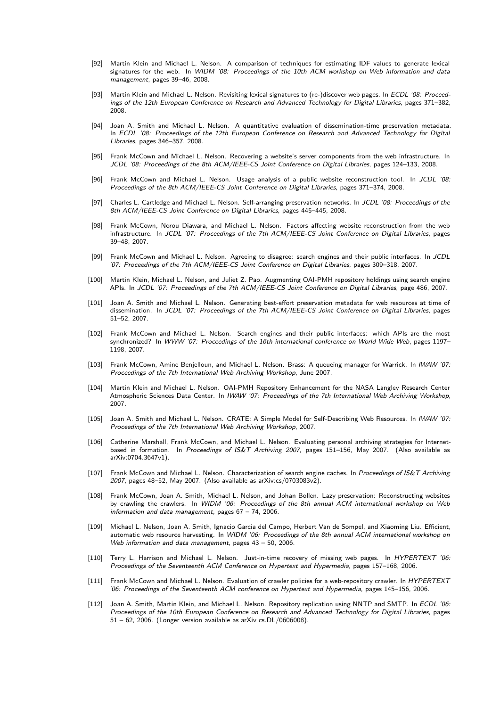- [92] Martin Klein and Michael L. Nelson. A comparison of techniques for estimating IDF values to generate lexical signatures for the web. In WIDM '08: Proceedings of the 10th ACM workshop on Web information and data management, pages 39–46, 2008.
- [93] Martin Klein and Michael L. Nelson. Revisiting lexical signatures to (re-)discover web pages. In ECDL '08: Proceedings of the 12th European Conference on Research and Advanced Technology for Digital Libraries, pages 371–382, 2008.
- [94] Joan A. Smith and Michael L. Nelson. A quantitative evaluation of dissemination-time preservation metadata. In ECDL '08: Proceedings of the 12th European Conference on Research and Advanced Technology for Digital Libraries, pages 346–357, 2008.
- [95] Frank McCown and Michael L. Nelson. Recovering a website's server components from the web infrastructure. In JCDL '08: Proceedings of the 8th ACM/IEEE-CS Joint Conference on Digital Libraries, pages 124–133, 2008.
- [96] Frank McCown and Michael L. Nelson. Usage analysis of a public website reconstruction tool. In JCDL '08: Proceedings of the 8th ACM/IEEE-CS Joint Conference on Digital Libraries, pages 371–374, 2008.
- [97] Charles L. Cartledge and Michael L. Nelson. Self-arranging preservation networks. In JCDL '08: Proceedings of the 8th ACM/IEEE-CS Joint Conference on Digital Libraries, pages 445–445, 2008.
- [98] Frank McCown, Norou Diawara, and Michael L. Nelson. Factors affecting website reconstruction from the web infrastructure. In JCDL '07: Proceedings of the 7th ACM/IEEE-CS Joint Conference on Digital Libraries, pages 39–48, 2007.
- [99] Frank McCown and Michael L. Nelson. Agreeing to disagree: search engines and their public interfaces. In JCDL '07: Proceedings of the 7th ACM/IEEE-CS Joint Conference on Digital Libraries, pages 309–318, 2007.
- [100] Martin Klein, Michael L. Nelson, and Juliet Z. Pao. Augmenting OAI-PMH repository holdings using search engine APIs. In JCDL '07: Proceedings of the 7th ACM/IEEE-CS Joint Conference on Digital Libraries, page 486, 2007.
- [101] Joan A. Smith and Michael L. Nelson. Generating best-effort preservation metadata for web resources at time of dissemination. In JCDL '07: Proceedings of the 7th ACM/IEEE-CS Joint Conference on Digital Libraries, pages 51–52, 2007.
- [102] Frank McCown and Michael L. Nelson. Search engines and their public interfaces: which APIs are the most synchronized? In WWW '07: Proceedings of the 16th international conference on World Wide Web, pages 1197– 1198, 2007.
- Frank McCown, Amine Benjelloun, and Michael L. Nelson. Brass: A queueing manager for Warrick. In IWAW '07: Proceedings of the 7th International Web Archiving Workshop, June 2007.
- [104] Martin Klein and Michael L. Nelson. OAI-PMH Repository Enhancement for the NASA Langley Research Center Atmospheric Sciences Data Center. In IWAW '07: Proceedings of the 7th International Web Archiving Workshop, 2007.
- [105] Joan A. Smith and Michael L. Nelson. CRATE: A Simple Model for Self-Describing Web Resources. In IWAW '07: Proceedings of the 7th International Web Archiving Workshop, 2007.
- [106] Catherine Marshall, Frank McCown, and Michael L. Nelson. Evaluating personal archiving strategies for Internetbased in formation. In Proceedings of IS&T Archiving 2007, pages 151-156, May 2007. (Also available as arXiv:0704.3647v1).
- [107] Frank McCown and Michael L. Nelson. Characterization of search engine caches. In Proceedings of IS&T Archiving 2007, pages 48–52, May 2007. (Also available as arXiv:cs/0703083v2).
- [108] Frank McCown, Joan A. Smith, Michael L. Nelson, and Johan Bollen. Lazy preservation: Reconstructing websites by crawling the crawlers. In WIDM '06: Proceedings of the 8th annual ACM international workshop on Web information and data management, pages 67 – 74, 2006.
- [109] Michael L. Nelson, Joan A. Smith, Ignacio Garcia del Campo, Herbert Van de Sompel, and Xiaoming Liu. Efficient, automatic web resource harvesting. In WIDM '06: Proceedings of the 8th annual ACM international workshop on Web information and data management, pages 43 - 50, 2006.
- [110] Terry L. Harrison and Michael L. Nelson. Just-in-time recovery of missing web pages. In HYPERTEXT '06: Proceedings of the Seventeenth ACM Conference on Hypertext and Hypermedia, pages 157–168, 2006.
- [111] Frank McCown and Michael L. Nelson. Evaluation of crawler policies for a web-repository crawler. In HYPERTEXT '06: Proceedings of the Seventeenth ACM conference on Hypertext and Hypermedia, pages 145–156, 2006.
- [112] Joan A. Smith, Martin Klein, and Michael L. Nelson. Repository replication using NNTP and SMTP. In ECDL '06: Proceedings of the 10th European Conference on Research and Advanced Technology for Digital Libraries, pages 51 – 62, 2006. (Longer version available as arXiv cs.DL/0606008).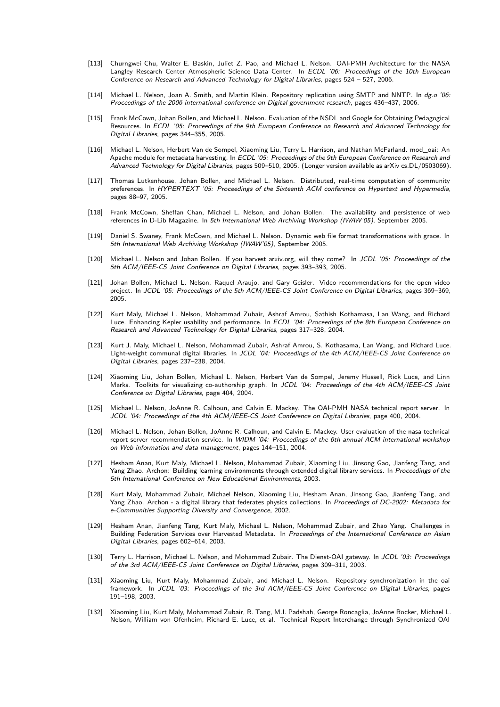- [113] Churngwei Chu, Walter E. Baskin, Juliet Z. Pao, and Michael L. Nelson. OAI-PMH Architecture for the NASA Langley Research Center Atmospheric Science Data Center. In *ECDL '06: Proceedings of the 10th European* Conference on Research and Advanced Technology for Digital Libraries, pages 524 – 527, 2006.
- [114] Michael L. Nelson, Joan A. Smith, and Martin Klein. Repository replication using SMTP and NNTP. In dg.o '06: Proceedings of the 2006 international conference on Digital government research, pages 436–437, 2006.
- [115] Frank McCown, Johan Bollen, and Michael L. Nelson. Evaluation of the NSDL and Google for Obtaining Pedagogical Resources. In ECDL '05: Proceedings of the 9th European Conference on Research and Advanced Technology for Digital Libraries, pages 344–355, 2005.
- [116] Michael L. Nelson, Herbert Van de Sompel, Xiaoming Liu, Terry L. Harrison, and Nathan McFarland. mod\_oai: An Apache module for metadata harvesting. In ECDL '05: Proceedings of the 9th European Conference on Research and Advanced Technology for Digital Libraries, pages 509–510, 2005. (Longer version available as arXiv cs.DL/0503069).
- [117] Thomas Lutkenhouse, Johan Bollen, and Michael L. Nelson. Distributed, real-time computation of community preferences. In HYPERTEXT '05: Proceedings of the Sixteenth ACM conference on Hypertext and Hypermedia, pages 88–97, 2005.
- [118] Frank McCown, Sheffan Chan, Michael L. Nelson, and Johan Bollen. The availability and persistence of web references in D-Lib Magazine. In 5th International Web Archiving Workshop (IWAW'05), September 2005.
- [119] Daniel S. Swaney, Frank McCown, and Michael L. Nelson. Dynamic web file format transformations with grace. In 5th International Web Archiving Workshop (IWAW'05), September 2005.
- [120] Michael L. Nelson and Johan Bollen. If you harvest arxiv.org, will they come? In JCDL '05: Proceedings of the 5th ACM/IEEE-CS Joint Conference on Digital Libraries, pages 393–393, 2005.
- [121] Johan Bollen, Michael L. Nelson, Raquel Araujo, and Gary Geisler. Video recommendations for the open video project. In JCDL '05: Proceedings of the 5th ACM/IEEE-CS Joint Conference on Digital Libraries, pages 369–369, 2005.
- [122] Kurt Maly, Michael L. Nelson, Mohammad Zubair, Ashraf Amrou, Sathish Kothamasa, Lan Wang, and Richard Luce. Enhancing Kepler usability and performance. In ECDL '04: Proceedings of the 8th European Conference on Research and Advanced Technology for Digital Libraries, pages 317–328, 2004.
- [123] Kurt J. Maly, Michael L. Nelson, Mohammad Zubair, Ashraf Amrou, S. Kothasama, Lan Wang, and Richard Luce. Light-weight communal digital libraries. In JCDL '04: Proceedings of the 4th ACM/IEEE-CS Joint Conference on Digital Libraries, pages 237–238, 2004.
- [124] Xiaoming Liu, Johan Bollen, Michael L. Nelson, Herbert Van de Sompel, Jeremy Hussell, Rick Luce, and Linn Marks. Toolkits for visualizing co-authorship graph. In JCDL '04: Proceedings of the 4th ACM/IEEE-CS Joint Conference on Digital Libraries, page 404, 2004.
- [125] Michael L. Nelson, JoAnne R. Calhoun, and Calvin E. Mackey. The OAI-PMH NASA technical report server. In JCDL '04: Proceedings of the 4th ACM/IEEE-CS Joint Conference on Digital Libraries, page 400, 2004.
- [126] Michael L. Nelson, Johan Bollen, JoAnne R. Calhoun, and Calvin E. Mackey. User evaluation of the nasa technical report server recommendation service. In WIDM '04: Proceedings of the 6th annual ACM international workshop on Web information and data management, pages 144–151, 2004.
- [127] Hesham Anan, Kurt Maly, Michael L. Nelson, Mohammad Zubair, Xiaoming Liu, Jinsong Gao, Jianfeng Tang, and Yang Zhao. Archon: Building learning environments through extended digital library services. In Proceedings of the 5th International Conference on New Educational Environments, 2003.
- [128] Kurt Maly, Mohammad Zubair, Michael Nelson, Xiaoming Liu, Hesham Anan, Jinsong Gao, Jianfeng Tang, and Yang Zhao. Archon - a digital library that federates physics collections. In Proceedings of DC-2002: Metadata for e-Communities Supporting Diversity and Convergence, 2002.
- [129] Hesham Anan, Jianfeng Tang, Kurt Maly, Michael L. Nelson, Mohammad Zubair, and Zhao Yang. Challenges in Building Federation Services over Harvested Metadata. In Proceedings of the International Conference on Asian Digital Libraries, pages 602–614, 2003.
- [130] Terry L. Harrison, Michael L. Nelson, and Mohammad Zubair. The Dienst-OAI gateway. In JCDL '03: Proceedings of the 3rd ACM/IEEE-CS Joint Conference on Digital Libraries, pages 309–311, 2003.
- [131] Xiaoming Liu, Kurt Maly, Mohammad Zubair, and Michael L. Nelson. Repository synchronization in the oai framework. In JCDL '03: Proceedings of the 3rd ACM/IEEE-CS Joint Conference on Digital Libraries, pages 191–198, 2003.
- [132] Xiaoming Liu, Kurt Maly, Mohammad Zubair, R. Tang, M.I. Padshah, George Roncaglia, JoAnne Rocker, Michael L. Nelson, William von Ofenheim, Richard E. Luce, et al. Technical Report Interchange through Synchronized OAI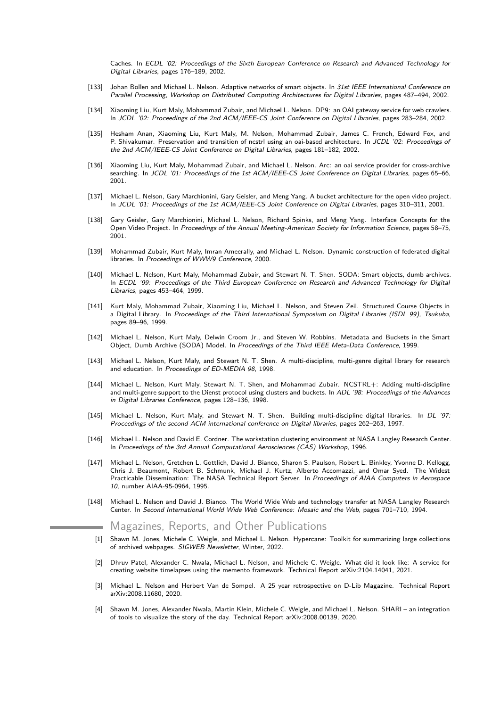Caches. In ECDL '02: Proceedings of the Sixth European Conference on Research and Advanced Technology for Digital Libraries, pages 176–189, 2002.

- [133] Johan Bollen and Michael L. Nelson. Adaptive networks of smart objects. In 31st IEEE International Conference on Parallel Processing, Workshop on Distributed Computing Architectures for Digital Libraries, pages 487–494, 2002.
- [134] Xiaoming Liu, Kurt Maly, Mohammad Zubair, and Michael L. Nelson. DP9: an OAI gateway service for web crawlers. In JCDL '02: Proceedings of the 2nd ACM/IEEE-CS Joint Conference on Digital Libraries, pages 283–284, 2002.
- [135] Hesham Anan, Xiaoming Liu, Kurt Maly, M. Nelson, Mohammad Zubair, James C. French, Edward Fox, and P. Shivakumar. Preservation and transition of ncstrl using an oai-based architecture. In JCDL '02: Proceedings of the 2nd ACM/IEEE-CS Joint Conference on Digital Libraries, pages 181–182, 2002.
- [136] Xiaoming Liu, Kurt Maly, Mohammad Zubair, and Michael L. Nelson. Arc: an oai service provider for cross-archive searching. In JCDL '01: Proceedings of the 1st ACM/IEEE-CS Joint Conference on Digital Libraries, pages 65-66, 2001.
- [137] Michael L. Nelson, Gary Marchionini, Gary Geisler, and Meng Yang. A bucket architecture for the open video project. In JCDL '01: Proceedings of the 1st ACM/IEEE-CS Joint Conference on Digital Libraries, pages 310–311, 2001.
- [138] Gary Geisler, Gary Marchionini, Michael L. Nelson, Richard Spinks, and Meng Yang. Interface Concepts for the Open Video Project. In Proceedings of the Annual Meeting-American Society for Information Science, pages 58–75, 2001.
- [139] Mohammad Zubair, Kurt Maly, Imran Ameerally, and Michael L. Nelson. Dynamic construction of federated digital libraries. In Proceedings of WWW9 Conference, 2000.
- [140] Michael L. Nelson, Kurt Maly, Mohammad Zubair, and Stewart N. T. Shen. SODA: Smart objects, dumb archives. In ECDL '99: Proceedings of the Third European Conference on Research and Advanced Technology for Digital Libraries, pages 453–464, 1999.
- [141] Kurt Maly, Mohammad Zubair, Xiaoming Liu, Michael L. Nelson, and Steven Zeil. Structured Course Objects in a Digital Library. In Proceedings of the Third International Symposium on Digital Libraries (ISDL 99), Tsukuba, pages 89–96, 1999.
- [142] Michael L. Nelson, Kurt Maly, Delwin Croom Jr., and Steven W. Robbins. Metadata and Buckets in the Smart Object, Dumb Archive (SODA) Model. In Proceedings of the Third IEEE Meta-Data Conference, 1999.
- [143] Michael L. Nelson, Kurt Maly, and Stewart N. T. Shen. A multi-discipline, multi-genre digital library for research and education. In Proceedings of ED-MEDIA 98, 1998.
- [144] Michael L. Nelson, Kurt Maly, Stewart N. T. Shen, and Mohammad Zubair. NCSTRL+: Adding multi-discipline and multi-genre support to the Dienst protocol using clusters and buckets. In ADL '98: Proceedings of the Advances in Digital Libraries Conference, pages 128–136, 1998.
- [145] Michael L. Nelson, Kurt Maly, and Stewart N. T. Shen. Building multi-discipline digital libraries. In DL '97: Proceedings of the second ACM international conference on Digital libraries, pages 262–263, 1997.
- [146] Michael L. Nelson and David E. Cordner. The workstation clustering environment at NASA Langley Research Center. In Proceedings of the 3rd Annual Computational Aerosciences (CAS) Workshop, 1996.
- [147] Michael L. Nelson, Gretchen L. Gottlich, David J. Bianco, Sharon S. Paulson, Robert L. Binkley, Yvonne D. Kellogg, Chris J. Beaumont, Robert B. Schmunk, Michael J. Kurtz, Alberto Accomazzi, and Omar Syed. The Widest Practicable Dissemination: The NASA Technical Report Server. In Proceedings of AIAA Computers in Aerospace 10, number AIAA-95-0964, 1995.
- [148] Michael L. Nelson and David J. Bianco. The World Wide Web and technology transfer at NASA Langley Research Center. In Second International World Wide Web Conference: Mosaic and the Web, pages 701–710, 1994.

## Magazines, Reports, and Other Publications

- [1] Shawn M. Jones, Michele C. Weigle, and Michael L. Nelson. Hypercane: Toolkit for summarizing large collections of archived webpages. SIGWEB Newsletter, Winter, 2022.
- [2] Dhruv Patel, Alexander C. Nwala, Michael L. Nelson, and Michele C. Weigle. What did it look like: A service for creating website timelapses using the memento framework. Technical Report arXiv:2104.14041, 2021.
- [3] Michael L. Nelson and Herbert Van de Sompel. A 25 year retrospective on D-Lib Magazine. Technical Report arXiv:2008.11680, 2020.
- [4] Shawn M. Jones, Alexander Nwala, Martin Klein, Michele C. Weigle, and Michael L. Nelson. SHARI an integration of tools to visualize the story of the day. Technical Report arXiv:2008.00139, 2020.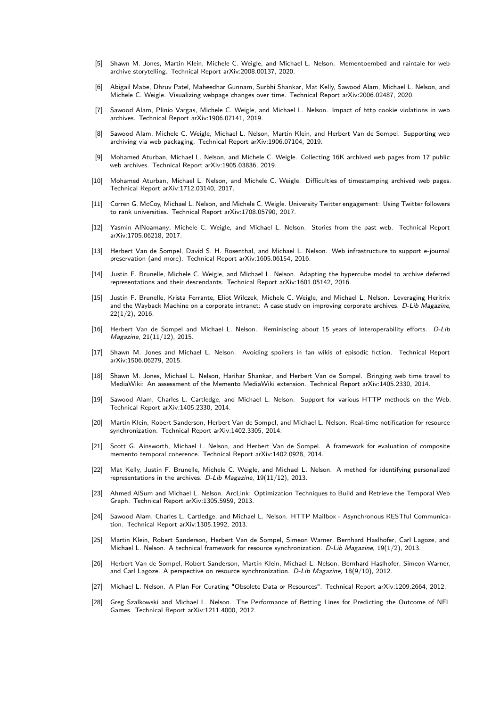- [5] Shawn M. Jones, Martin Klein, Michele C. Weigle, and Michael L. Nelson. Mementoembed and raintale for web archive storytelling. Technical Report arXiv:2008.00137, 2020.
- [6] Abigail Mabe, Dhruv Patel, Maheedhar Gunnam, Surbhi Shankar, Mat Kelly, Sawood Alam, Michael L. Nelson, and Michele C. Weigle. Visualizing webpage changes over time. Technical Report arXiv:2006.02487, 2020.
- [7] Sawood Alam, Plinio Vargas, Michele C. Weigle, and Michael L. Nelson. Impact of http cookie violations in web archives. Technical Report arXiv:1906.07141, 2019.
- [8] Sawood Alam, Michele C. Weigle, Michael L. Nelson, Martin Klein, and Herbert Van de Sompel. Supporting web archiving via web packaging. Technical Report arXiv:1906.07104, 2019.
- Mohamed Aturban, Michael L. Nelson, and Michele C. Weigle. Collecting 16K archived web pages from 17 public web archives. Technical Report arXiv:1905.03836, 2019.
- [10] Mohamed Aturban, Michael L. Nelson, and Michele C. Weigle. Difficulties of timestamping archived web pages. Technical Report arXiv:1712.03140, 2017.
- [11] Corren G. McCoy, Michael L. Nelson, and Michele C. Weigle. University Twitter engagement: Using Twitter followers to rank universities. Technical Report arXiv:1708.05790, 2017.
- [12] Yasmin AlNoamany, Michele C. Weigle, and Michael L. Nelson. Stories from the past web. Technical Report arXiv:1705.06218, 2017.
- Herbert Van de Sompel, David S. H. Rosenthal, and Michael L. Nelson. Web infrastructure to support e-journal preservation (and more). Technical Report arXiv:1605.06154, 2016.
- [14] Justin F. Brunelle, Michele C. Weigle, and Michael L. Nelson. Adapting the hypercube model to archive deferred representations and their descendants. Technical Report arXiv:1601.05142, 2016.
- [15] Justin F. Brunelle, Krista Ferrante, Eliot Wilczek, Michele C. Weigle, and Michael L. Nelson. Leveraging Heritrix and the Wayback Machine on a corporate intranet: A case study on improving corporate archives. D-Lib Magazine, 22(1/2), 2016.
- [16] Herbert Van de Sompel and Michael L. Nelson. Reminiscing about 15 years of interoperability efforts. D-Lib Magazine, 21(11/12), 2015.
- [17] Shawn M. Jones and Michael L. Nelson. Avoiding spoilers in fan wikis of episodic fiction. Technical Report arXiv:1506.06279, 2015.
- [18] Shawn M. Jones, Michael L. Nelson, Harihar Shankar, and Herbert Van de Sompel. Bringing web time travel to MediaWiki: An assessment of the Memento MediaWiki extension. Technical Report arXiv:1405.2330, 2014.
- [19] Sawood Alam, Charles L. Cartledge, and Michael L. Nelson. Support for various HTTP methods on the Web. Technical Report arXiv:1405.2330, 2014.
- [20] Martin Klein, Robert Sanderson, Herbert Van de Sompel, and Michael L. Nelson. Real-time notification for resource synchronization. Technical Report arXiv:1402.3305, 2014.
- [21] Scott G. Ainsworth, Michael L. Nelson, and Herbert Van de Sompel. A framework for evaluation of composite memento temporal coherence. Technical Report arXiv:1402.0928, 2014.
- [22] Mat Kelly, Justin F. Brunelle, Michele C. Weigle, and Michael L. Nelson. A method for identifying personalized representations in the archives. D-Lib Magazine, 19(11/12), 2013.
- [23] Ahmed AlSum and Michael L. Nelson. ArcLink: Optimization Techniques to Build and Retrieve the Temporal Web Graph. Technical Report arXiv:1305.5959, 2013.
- [24] Sawood Alam, Charles L. Cartledge, and Michael L. Nelson. HTTP Mailbox Asynchronous RESTful Communication. Technical Report arXiv:1305.1992, 2013.
- [25] Martin Klein, Robert Sanderson, Herbert Van de Sompel, Simeon Warner, Bernhard Haslhofer, Carl Lagoze, and Michael L. Nelson. A technical framework for resource synchronization. D-Lib Magazine, 19(1/2), 2013.
- [26] Herbert Van de Sompel, Robert Sanderson, Martin Klein, Michael L. Nelson, Bernhard Haslhofer, Simeon Warner, and Carl Lagoze. A perspective on resource synchronization. D-Lib Magazine, 18(9/10), 2012.
- [27] Michael L. Nelson. A Plan For Curating "Obsolete Data or Resources". Technical Report arXiv:1209.2664, 2012.
- [28] Greg Szalkowski and Michael L. Nelson. The Performance of Betting Lines for Predicting the Outcome of NFL Games. Technical Report arXiv:1211.4000, 2012.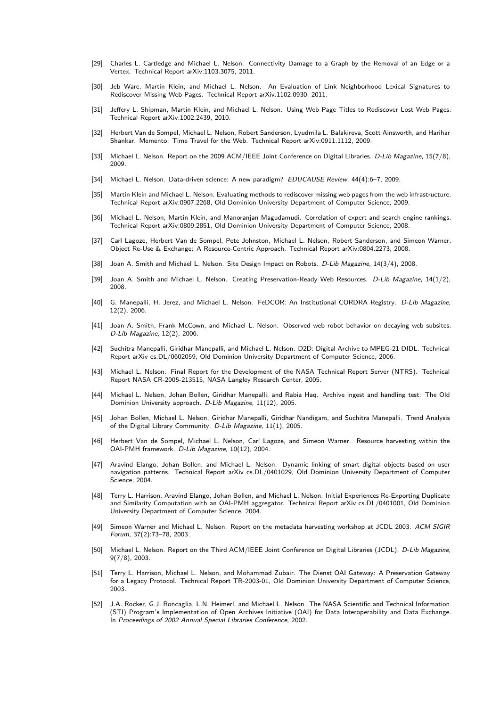- [29] Charles L. Cartledge and Michael L. Nelson. Connectivity Damage to a Graph by the Removal of an Edge or a Vertex. Technical Report arXiv:1103.3075, 2011.
- [30] Jeb Ware, Martin Klein, and Michael L. Nelson. An Evaluation of Link Neighborhood Lexical Signatures to Rediscover Missing Web Pages. Technical Report arXiv:1102.0930, 2011.
- [31] Jeffery L. Shipman, Martin Klein, and Michael L. Nelson. Using Web Page Titles to Rediscover Lost Web Pages. Technical Report arXiv:1002.2439, 2010.
- [32] Herbert Van de Sompel, Michael L. Nelson, Robert Sanderson, Lyudmila L. Balakireva, Scott Ainsworth, and Harihar Shankar. Memento: Time Travel for the Web. Technical Report arXiv:0911.1112, 2009.
- [33] Michael L. Nelson. Report on the 2009 ACM/IEEE Joint Conference on Digital Libraries. D-Lib Magazine, 15(7/8), 2009.
- [34] Michael L. Nelson. Data-driven science: A new paradigm? EDUCAUSE Review, 44(4):6-7, 2009.
- [35] Martin Klein and Michael L. Nelson. Evaluating methods to rediscover missing web pages from the web infrastructure. Technical Report arXiv:0907.2268, Old Dominion University Department of Computer Science, 2009.
- [36] Michael L. Nelson, Martin Klein, and Manoranjan Magudamudi. Correlation of expert and search engine rankings. Technical Report arXiv:0809.2851, Old Dominion University Department of Computer Science, 2008.
- [37] Carl Lagoze, Herbert Van de Sompel, Pete Johnston, Michael L. Nelson, Robert Sanderson, and Simeon Warner. Object Re-Use & Exchange: A Resource-Centric Approach. Technical Report arXiv:0804.2273, 2008.
- [38] Joan A. Smith and Michael L. Nelson. Site Design Impact on Robots. D-Lib Magazine, 14(3/4), 2008.
- [39] Joan A. Smith and Michael L. Nelson. Creating Preservation-Ready Web Resources. D-Lib Magazine, 14(1/2), 2008.
- [40] G. Manepalli, H. Jerez, and Michael L. Nelson. FeDCOR: An Institutional CORDRA Registry. D-Lib Magazine, 12(2), 2006.
- [41] Joan A. Smith, Frank McCown, and Michael L. Nelson. Observed web robot behavior on decaying web subsites. D-Lib Magazine, 12(2), 2006.
- [42] Suchitra Manepalli, Giridhar Manepalli, and Michael L. Nelson. D2D: Digital Archive to MPEG-21 DIDL. Technical Report arXiv cs.DL/0602059, Old Dominion University Department of Computer Science, 2006.
- [43] Michael L. Nelson. Final Report for the Development of the NASA Technical Report Server (NTRS). Technical Report NASA CR-2005-213515, NASA Langley Research Center, 2005.
- [44] Michael L. Nelson, Johan Bollen, Giridhar Manepalli, and Rabia Haq. Archive ingest and handling test: The Old Dominion University approach. D-Lib Magazine, 11(12), 2005.
- [45] Johan Bollen, Michael L. Nelson, Giridhar Manepalli, Giridhar Nandigam, and Suchitra Manepalli. Trend Analysis of the Digital Library Community. D-Lib Magazine, 11(1), 2005.
- [46] Herbert Van de Sompel, Michael L. Nelson, Carl Lagoze, and Simeon Warner. Resource harvesting within the OAI-PMH framework. D-Lib Magazine, 10(12), 2004.
- [47] Aravind Elango, Johan Bollen, and Michael L. Nelson. Dynamic linking of smart digital objects based on user navigation patterns. Technical Report arXiv cs.DL/0401029, Old Dominion University Department of Computer Science, 2004.
- [48] Terry L. Harrison, Aravind Elango, Johan Bollen, and Michael L. Nelson. Initial Experiences Re-Exporting Duplicate and Similarity Computation with an OAI-PMH aggregator. Technical Report arXiv cs.DL/0401001, Old Dominion University Department of Computer Science, 2004.
- [49] Simeon Warner and Michael L. Nelson. Report on the metadata harvesting workshop at JCDL 2003. ACM SIGIR Forum, 37(2):73–78, 2003.
- [50] Michael L. Nelson. Report on the Third ACM/IEEE Joint Conference on Digital Libraries (JCDL). *D-Lib Magazine*, 9(7/8), 2003.
- [51] Terry L. Harrison, Michael L. Nelson, and Mohammad Zubair. The Dienst OAI Gateway: A Preservation Gateway for a Legacy Protocol. Technical Report TR-2003-01, Old Dominion University Department of Computer Science, 2003.
- [52] J.A. Rocker, G.J. Roncaglia, L.N. Heimerl, and Michael L. Nelson. The NASA Scientific and Technical Information (STI) Program's Implementation of Open Archives Initiative (OAI) for Data Interoperability and Data Exchange. In Proceedings of 2002 Annual Special Libraries Conference, 2002.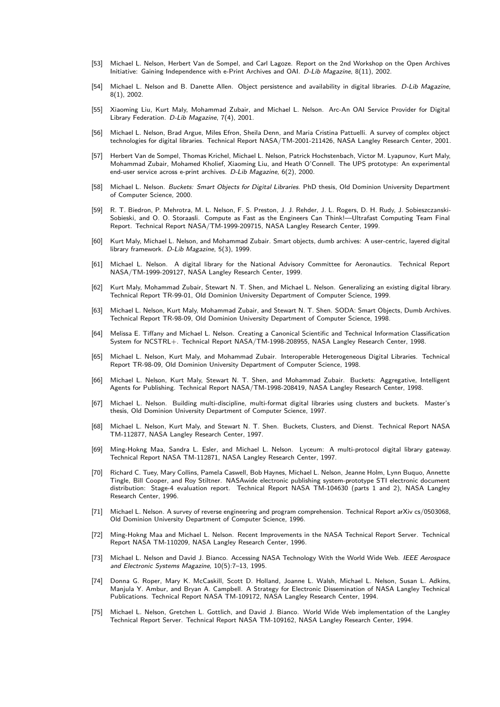- [53] Michael L. Nelson, Herbert Van de Sompel, and Carl Lagoze. Report on the 2nd Workshop on the Open Archives Initiative: Gaining Independence with e-Print Archives and OAI. D-Lib Magazine, 8(11), 2002.
- [54] Michael L. Nelson and B. Danette Allen. Object persistence and availability in digital libraries. D-Lib Magazine, 8(1), 2002.
- [55] Xiaoming Liu, Kurt Maly, Mohammad Zubair, and Michael L. Nelson. Arc-An OAI Service Provider for Digital Library Federation. D-Lib Magazine, 7(4), 2001.
- [56] Michael L. Nelson, Brad Argue, Miles Efron, Sheila Denn, and Maria Cristina Pattuelli. A survey of complex object technologies for digital libraries. Technical Report NASA/TM-2001-211426, NASA Langley Research Center, 2001.
- [57] Herbert Van de Sompel, Thomas Krichel, Michael L. Nelson, Patrick Hochstenbach, Victor M. Lyapunov, Kurt Maly, Mohammad Zubair, Mohamed Kholief, Xiaoming Liu, and Heath O'Connell. The UPS prototype: An experimental end-user service across e-print archives. D-Lib Magazine, 6(2), 2000.
- [58] Michael L. Nelson. Buckets: Smart Objects for Digital Libraries. PhD thesis, Old Dominion University Department of Computer Science, 2000.
- [59] R. T. Biedron, P. Mehrotra, M. L. Nelson, F. S. Preston, J. J. Rehder, J. L. Rogers, D. H. Rudy, J. Sobieszczanski-Sobieski, and O. O. Storaasli. Compute as Fast as the Engineers Can Think!—Ultrafast Computing Team Final Report. Technical Report NASA/TM-1999-209715, NASA Langley Research Center, 1999.
- [60] Kurt Maly, Michael L. Nelson, and Mohammad Zubair. Smart objects, dumb archives: A user-centric, layered digital library framework. D-Lib Magazine, 5(3), 1999.
- [61] Michael L. Nelson. A digital library for the National Advisory Committee for Aeronautics. Technical Report NASA/TM-1999-209127, NASA Langley Research Center, 1999.
- [62] Kurt Maly, Mohammad Zubair, Stewart N. T. Shen, and Michael L. Nelson. Generalizing an existing digital library. Technical Report TR-99-01, Old Dominion University Department of Computer Science, 1999.
- [63] Michael L. Nelson, Kurt Maly, Mohammad Zubair, and Stewart N. T. Shen. SODA: Smart Objects, Dumb Archives. Technical Report TR-98-09, Old Dominion University Department of Computer Science, 1998.
- [64] Melissa E. Tiffany and Michael L. Nelson. Creating a Canonical Scientific and Technical Information Classification System for NCSTRL+. Technical Report NASA/TM-1998-208955, NASA Langley Research Center, 1998.
- [65] Michael L. Nelson, Kurt Maly, and Mohammad Zubair. Interoperable Heterogeneous Digital Libraries. Technical Report TR-98-09, Old Dominion University Department of Computer Science, 1998.
- [66] Michael L. Nelson, Kurt Maly, Stewart N. T. Shen, and Mohammad Zubair. Buckets: Aggregative, Intelligent Agents for Publishing. Technical Report NASA/TM-1998-208419, NASA Langley Research Center, 1998.
- [67] Michael L. Nelson. Building multi-discipline, multi-format digital libraries using clusters and buckets. Master's thesis, Old Dominion University Department of Computer Science, 1997.
- [68] Michael L. Nelson, Kurt Maly, and Stewart N. T. Shen. Buckets, Clusters, and Dienst. Technical Report NASA TM-112877, NASA Langley Research Center, 1997.
- [69] Ming-Hokng Maa, Sandra L. Esler, and Michael L. Nelson. Lyceum: A multi-protocol digital library gateway. Technical Report NASA TM-112871, NASA Langley Research Center, 1997.
- [70] Richard C. Tuey, Mary Collins, Pamela Caswell, Bob Haynes, Michael L. Nelson, Jeanne Holm, Lynn Buquo, Annette Tingle, Bill Cooper, and Roy Stiltner. NASAwide electronic publishing system-prototype STI electronic document distribution: Stage-4 evaluation report. Technical Report NASA TM-104630 (parts 1 and 2), NASA Langley Research Center, 1996.
- [71] Michael L. Nelson. A survey of reverse engineering and program comprehension. Technical Report arXiv cs/0503068, Old Dominion University Department of Computer Science, 1996.
- [72] Ming-Hokng Maa and Michael L. Nelson. Recent Improvements in the NASA Technical Report Server. Technical Report NASA TM-110209, NASA Langley Research Center, 1996.
- [73] Michael L. Nelson and David J. Bianco. Accessing NASA Technology With the World Wide Web. IEEE Aerospace and Electronic Systems Magazine, 10(5):7–13, 1995.
- [74] Donna G. Roper, Mary K. McCaskill, Scott D. Holland, Joanne L. Walsh, Michael L. Nelson, Susan L. Adkins, Manjula Y. Ambur, and Bryan A. Campbell. A Strategy for Electronic Dissemination of NASA Langley Technical Publications. Technical Report NASA TM-109172, NASA Langley Research Center, 1994.
- [75] Michael L. Nelson, Gretchen L. Gottlich, and David J. Bianco. World Wide Web implementation of the Langley Technical Report Server. Technical Report NASA TM-109162, NASA Langley Research Center, 1994.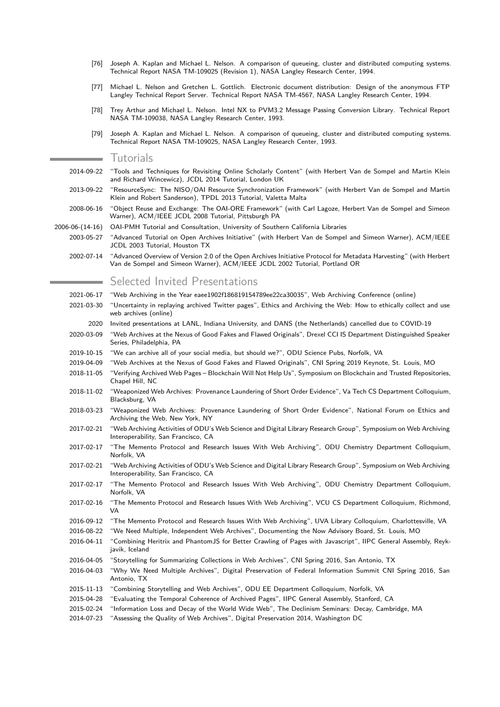- [76] Joseph A. Kaplan and Michael L. Nelson. A comparison of queueing, cluster and distributed computing systems. Technical Report NASA TM-109025 (Revision 1), NASA Langley Research Center, 1994.
- [77] Michael L. Nelson and Gretchen L. Gottlich. Electronic document distribution: Design of the anonymous FTP Langley Technical Report Server. Technical Report NASA TM-4567, NASA Langley Research Center, 1994.
- [78] Trey Arthur and Michael L. Nelson. Intel NX to PVM3.2 Message Passing Conversion Library. Technical Report NASA TM-109038, NASA Langley Research Center, 1993.
- [79] Joseph A. Kaplan and Michael L. Nelson. A comparison of queueing, cluster and distributed computing systems. Technical Report NASA TM-109025, NASA Langley Research Center, 1993.

Tutorials

- 2014-09-22 "Tools and Techniques for Revisiting Online Scholarly Content" (with Herbert Van de Sompel and Martin Klein and Richard Wincewicz), JCDL 2014 Tutorial, London UK
- 2013-09-22 "ResourceSync: The NISO/OAI Resource Synchronization Framework" (with Herbert Van de Sompel and Martin Klein and Robert Sanderson), TPDL 2013 Tutorial, Valetta Malta
- 2008-06-16 "Object Reuse and Exchange: The OAI-ORE Framework" (with Carl Lagoze, Herbert Van de Sompel and Simeon Warner), ACM/IEEE JCDL 2008 Tutorial, Pittsburgh PA
- 2006-06-(14-16) OAI-PMH Tutorial and Consultation, University of Southern California Libraries
	- 2003-05-27 "Advanced Tutorial on Open Archives Initiative" (with Herbert Van de Sompel and Simeon Warner), ACM/IEEE JCDL 2003 Tutorial, Houston TX
	- 2002-07-14 "Advanced Overview of Version 2.0 of the Open Archives Initiative Protocol for Metadata Harvesting" (with Herbert Van de Sompel and Simeon Warner), ACM/IEEE JCDL 2002 Tutorial, Portland OR

# Selected Invited Presentations

- 2021-06-17 "Web Archiving in the Year eaee1902f186819154789ee22ca30035", Web Archiving Conference (online)
- 2021-03-30 "Uncertainty in replaying archived Twitter pages", Ethics and Archiving the Web: How to ethically collect and use web archives (online)
- 2020 Invited presentations at LANL, Indiana University, and DANS (the Netherlands) cancelled due to COVID-19
- 2020-03-09 "Web Archives at the Nexus of Good Fakes and Flawed Originals", Drexel CCI IS Department Distinguished Speaker Series, Philadelphia, PA
- 2019-10-15 "We can archive all of your social media, but should we?", ODU Science Pubs, Norfolk, VA
- 2019-04-09 "Web Archives at the Nexus of Good Fakes and Flawed Originals", CNI Spring 2019 Keynote, St. Louis, MO
- 2018-11-05 "Verifying Archived Web Pages Blockchain Will Not Help Us", Symposium on Blockchain and Trusted Repositories, Chapel Hill, NC
- 2018-11-02 "Weaponized Web Archives: Provenance Laundering of Short Order Evidence", Va Tech CS Department Colloquium, Blacksburg, VA
- 2018-03-23 "Weaponized Web Archives: Provenance Laundering of Short Order Evidence", National Forum on Ethics and Archiving the Web, New York, NY
- 2017-02-21 "Web Archiving Activities of ODU's Web Science and Digital Library Research Group", Symposium on Web Archiving Interoperability, San Francisco, CA
- 2017-02-17 "The Memento Protocol and Research Issues With Web Archiving", ODU Chemistry Department Colloquium, Norfolk, VA
- 2017-02-21 "Web Archiving Activities of ODU's Web Science and Digital Library Research Group", Symposium on Web Archiving Interoperability, San Francisco, CA
- 2017-02-17 "The Memento Protocol and Research Issues With Web Archiving", ODU Chemistry Department Colloquium, Norfolk, VA
- 2017-02-16 "The Memento Protocol and Research Issues With Web Archiving", VCU CS Department Colloquium, Richmond, VA
- 2016-09-12 "The Memento Protocol and Research Issues With Web Archiving", UVA Library Colloquium, Charlottesville, VA
- 2016-08-22 "We Need Multiple, Independent Web Archives", Documenting the Now Advisory Board, St. Louis, MO
- 2016-04-11 "Combining Heritrix and PhantomJS for Better Crawling of Pages with Javascript", IIPC General Assembly, Reykjavik, Iceland
- 2016-04-05 "Storytelling for Summarizing Collections in Web Archives", CNI Spring 2016, San Antonio, TX
- 2016-04-03 "Why We Need Multiple Archives", Digital Preservation of Federal Information Summit CNI Spring 2016, San Antonio, TX
- 2015-11-13 "Combining Storytelling and Web Archives", ODU EE Department Colloquium, Norfolk, VA
- 2015-04-28 "Evaluating the Temporal Coherence of Archived Pages", IIPC General Assembly, Stanford, CA
- 2015-02-24 "Information Loss and Decay of the World Wide Web", The Declinism Seminars: Decay, Cambridge, MA
- 2014-07-23 "Assessing the Quality of Web Archives", Digital Preservation 2014, Washington DC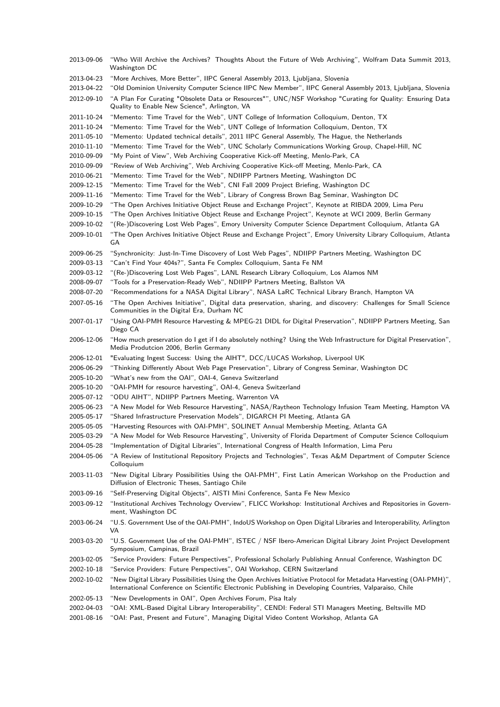| 2013-09-06 | "Who Will Archive the Archives? Thoughts About the Future of Web Archiving", Wolfram Data Summit 2013,<br>Washington DC                                                                                                       |
|------------|-------------------------------------------------------------------------------------------------------------------------------------------------------------------------------------------------------------------------------|
| 2013-04-23 | "More Archives, More Better", IIPC General Assembly 2013, Ljubljana, Slovenia                                                                                                                                                 |
| 2013-04-22 | "Old Dominion University Computer Science IIPC New Member", IIPC General Assembly 2013, Ljubljana, Slovenia                                                                                                                   |
| 2012-09-10 | "A Plan For Curating "Obsolete Data or Resources"", UNC/NSF Workshop "Curating for Quality: Ensuring Data<br>Quality to Enable New Science", Arlington, VA                                                                    |
| 2011-10-24 | "Memento: Time Travel for the Web", UNT College of Information Colloquium, Denton, TX                                                                                                                                         |
| 2011-10-24 | "Memento: Time Travel for the Web", UNT College of Information Colloquium, Denton, TX                                                                                                                                         |
| 2011-05-10 | "Memento: Updated technical details", 2011 IIPC General Assembly, The Hague, the Netherlands                                                                                                                                  |
| 2010-11-10 | "Memento: Time Travel for the Web", UNC Scholarly Communications Working Group, Chapel-Hill, NC                                                                                                                               |
| 2010-09-09 | "My Point of View", Web Archiving Cooperative Kick-off Meeting, Menlo-Park, CA                                                                                                                                                |
| 2010-09-09 | "Review of Web Archiving", Web Archiving Cooperative Kick-off Meeting, Menlo-Park, CA                                                                                                                                         |
| 2010-06-21 | "Memento: Time Travel for the Web", NDIIPP Partners Meeting, Washington DC                                                                                                                                                    |
| 2009-12-15 | "Memento: Time Travel for the Web", CNI Fall 2009 Project Briefing, Washington DC                                                                                                                                             |
| 2009-11-16 | "Memento: Time Travel for the Web", Library of Congress Brown Bag Seminar, Washington DC                                                                                                                                      |
| 2009-10-29 | "The Open Archives Initiative Object Reuse and Exchange Project", Keynote at RIBDA 2009, Lima Peru                                                                                                                            |
| 2009-10-15 | "The Open Archives Initiative Object Reuse and Exchange Project", Keynote at WCI 2009, Berlin Germany                                                                                                                         |
| 2009-10-02 | "(Re-)Discovering Lost Web Pages", Emory University Computer Science Department Colloquium, Atlanta GA                                                                                                                        |
| 2009-10-01 | "The Open Archives Initiative Object Reuse and Exchange Project", Emory University Library Colloquium, Atlanta<br>GA                                                                                                          |
| 2009-06-25 | "Synchronicity: Just-In-Time Discovery of Lost Web Pages", NDIIPP Partners Meeting, Washington DC                                                                                                                             |
| 2009-03-13 | "Can't Find Your 404s?", Santa Fe Complex Colloquium, Santa Fe NM                                                                                                                                                             |
| 2009-03-12 | "(Re-)Discovering Lost Web Pages", LANL Research Library Colloquium, Los Alamos NM                                                                                                                                            |
| 2008-09-07 | "Tools for a Preservation-Ready Web", NDIIPP Partners Meeting, Ballston VA                                                                                                                                                    |
| 2008-07-20 | "Recommendations for a NASA Digital Library", NASA LaRC Technical Library Branch, Hampton VA                                                                                                                                  |
| 2007-05-16 | "The Open Archives Initiative", Digital data preservation, sharing, and discovery: Challenges for Small Science                                                                                                               |
|            | Communities in the Digital Era, Durham NC                                                                                                                                                                                     |
| 2007-01-17 | "Using OAI-PMH Resource Harvesting & MPEG-21 DIDL for Digital Preservation", NDIIPP Partners Meeting, San<br>Diego CA                                                                                                         |
| 2006-12-06 | "How much preservation do I get if I do absolutely nothing? Using the Web Infrastructure for Digital Preservation",<br>Media Produtcion 2006, Berlin Germany                                                                  |
| 2006-12-01 | "Evaluating Ingest Success: Using the AIHT", DCC/LUCAS Workshop, Liverpool UK                                                                                                                                                 |
| 2006-06-29 | "Thinking Differently About Web Page Preservation", Library of Congress Seminar, Washington DC                                                                                                                                |
| 2005-10-20 | "What's new from the OAI", OAI-4, Geneva Switzerland                                                                                                                                                                          |
| 2005-10-20 | "OAI-PMH for resource harvesting", OAI-4, Geneva Switzerland                                                                                                                                                                  |
| 2005-07-12 | "ODU AIHT", NDIIPP Partners Meeting, Warrenton VA                                                                                                                                                                             |
| 2005-06-23 | "A New Model for Web Resource Harvesting", NASA/Raytheon Technology Infusion Team Meeting, Hampton VA                                                                                                                         |
| 2005-05-17 | "Shared Infrastructure Preservation Models", DIGARCH PI Meeting, Atlanta GA                                                                                                                                                   |
| 2005-05-05 | "Harvesting Resources with OAI-PMH", SOLINET Annual Membership Meeting, Atlanta GA                                                                                                                                            |
| 2005-03-29 | "A New Model for Web Resource Harvesting", University of Florida Department of Computer Science Colloquium                                                                                                                    |
| 2004-05-28 | "Implementation of Digital Libraries", International Congress of Health Information, Lima Peru                                                                                                                                |
| 2004-05-06 | "A Review of Institutional Repository Projects and Technologies", Texas A&M Department of Computer Science<br>Colloquium                                                                                                      |
| 2003-11-03 | "New Digital Library Possibilities Using the OAI-PMH", First Latin American Workshop on the Production and<br>Diffusion of Electronic Theses, Santiago Chile                                                                  |
| 2003-09-16 | "Self-Preserving Digital Objects", AISTI Mini Conference, Santa Fe New Mexico                                                                                                                                                 |
| 2003-09-12 | "Institutional Archives Technology Overview", FLICC Workshop: Institutional Archives and Repositories in Govern-<br>ment, Washington DC                                                                                       |
| 2003-06-24 | "U.S. Government Use of the OAI-PMH", IndoUS Workshop on Open Digital Libraries and Interoperability, Arlington<br>VA                                                                                                         |
| 2003-03-20 | "U.S. Government Use of the OAI-PMH", ISTEC / NSF Ibero-American Digital Library Joint Project Development<br>Symposium, Campinas, Brazil                                                                                     |
| 2003-02-05 | "Service Providers: Future Perspectives", Professional Scholarly Publishing Annual Conference, Washington DC                                                                                                                  |
| 2002-10-18 | "Service Providers: Future Perspectives", OAI Workshop, CERN Switzerland                                                                                                                                                      |
| 2002-10-02 | "New Digital Library Possibilities Using the Open Archives Initiative Protocol for Metadata Harvesting (OAI-PMH)",<br>International Conference on Scientific Electronic Publishing in Developing Countries, Valparaiso, Chile |
| 2002-05-13 | "New Developments in OAI", Open Archives Forum, Pisa Italy                                                                                                                                                                    |
| 2002-04-03 | "OAI: XML-Based Digital Library Interoperability", CENDI: Federal STI Managers Meeting, Beltsville MD                                                                                                                         |
| 2001-08-16 | "OAI: Past, Present and Future", Managing Digital Video Content Workshop, Atlanta GA                                                                                                                                          |
|            |                                                                                                                                                                                                                               |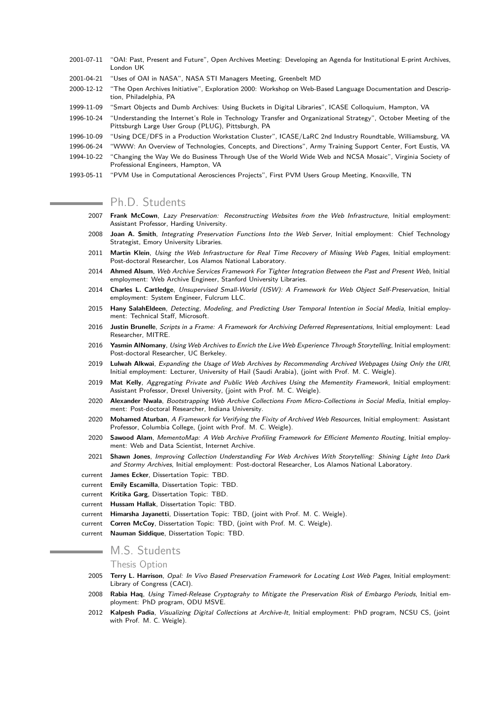- 2001-07-11 "OAI: Past, Present and Future", Open Archives Meeting: Developing an Agenda for Institutional E-print Archives, London UK
- 2001-04-21 "Uses of OAI in NASA", NASA STI Managers Meeting, Greenbelt MD
- 2000-12-12 "The Open Archives Initiative", Exploration 2000: Workshop on Web-Based Language Documentation and Description, Philadelphia, PA
- 1999-11-09 "Smart Objects and Dumb Archives: Using Buckets in Digital Libraries", ICASE Colloquium, Hampton, VA
- 1996-10-24 "Understanding the Internet's Role in Technology Transfer and Organizational Strategy", October Meeting of the Pittsburgh Large User Group (PLUG), Pittsburgh, PA
- 1996-10-09 "Using DCE/DFS in a Production Workstation Cluster", ICASE/LaRC 2nd Industry Roundtable, Williamsburg, VA
- 1996-06-24 "WWW: An Overview of Technologies, Concepts, and Directions", Army Training Support Center, Fort Eustis, VA
- 1994-10-22 "Changing the Way We do Business Through Use of the World Wide Web and NCSA Mosaic", Virginia Society of Professional Engineers, Hampton, VA
- 1993-05-11 "PVM Use in Computational Aerosciences Projects", First PVM Users Group Meeting, Knoxville, TN

# Ph.D. Students

- 2007 **Frank McCown**, Lazy Preservation: Reconstructing Websites from the Web Infrastructure, Initial employment: Assistant Professor, Harding University.
- 2008 **Joan A. Smith**, Integrating Preservation Functions Into the Web Server, Initial employment: Chief Technology Strategist, Emory University Libraries.
- 2011 **Martin Klein**, Using the Web Infrastructure for Real Time Recovery of Missing Web Pages, Initial employment: Post-doctoral Researcher, Los Alamos National Laboratory.
- 2014 **Ahmed Alsum**, Web Archive Services Framework For Tighter Integration Between the Past and Present Web, Initial employment: Web Archive Engineer, Stanford University Libraries.
- 2014 **Charles L. Cartledge**, Unsupervised Small-World (USW): A Framework for Web Object Self-Preservation, Initial employment: System Engineer, Fulcrum LLC.
- 2015 **Hany SalahEldeen**, Detecting, Modeling, and Predicting User Temporal Intention in Social Media, Initial employment: Technical Staff, Microsoft.
- 2016 **Justin Brunelle**, Scripts in a Frame: A Framework for Archiving Deferred Representations, Initial employment: Lead Researcher, MITRE.
- 2016 **Yasmin AlNomany**, Using Web Archives to Enrich the Live Web Experience Through Storytelling, Initial employment: Post-doctoral Researcher, UC Berkeley.
- 2019 **Lulwah Alkwai**, Expanding the Usage of Web Archives by Recommending Archived Webpages Using Only the URI, Initial employment: Lecturer, University of Hail (Saudi Arabia), (joint with Prof. M. C. Weigle).
- 2019 **Mat Kelly**, Aggregating Private and Public Web Archives Using the Mementity Framework, Initial employment: Assistant Professor, Drexel University, (joint with Prof. M. C. Weigle).
- 2020 **Alexander Nwala**, Bootstrapping Web Archive Collections From Micro-Collections in Social Media, Initial employment: Post-doctoral Researcher, Indiana University.
- 2020 **Mohamed Aturban**, A Framework for Verifying the Fixity of Archived Web Resources, Initial employment: Assistant Professor, Columbia College, (joint with Prof. M. C. Weigle).
- 2020 **Sawood Alam**, MementoMap: A Web Archive Profiling Framework for Efficient Memento Routing, Initial employment: Web and Data Scientist, Internet Archive.
- 2021 **Shawn Jones**, Improving Collection Understanding For Web Archives With Storytelling: Shining Light Into Dark and Stormy Archives, Initial employment: Post-doctoral Researcher, Los Alamos National Laboratory.
- current **James Ecker**, Dissertation Topic: TBD.
- current **Emily Escamilla**, Dissertation Topic: TBD.
- current **Kritika Garg**, Dissertation Topic: TBD.
- current **Hussam Hallak**, Dissertation Topic: TBD.
- current **Himarsha Jayanetti**, Dissertation Topic: TBD, (joint with Prof. M. C. Weigle).
- current **Corren McCoy**, Dissertation Topic: TBD, (joint with Prof. M. C. Weigle).
- current **Nauman Siddique**, Dissertation Topic: TBD.

# M.S. Students

### Thesis Option

- 2005 **Terry L. Harrison**, Opal: In Vivo Based Preservation Framework for Locating Lost Web Pages, Initial employment: Library of Congress (CACI).
- 2008 **Rabia Haq**, Using Timed-Release Cryptograhy to Mitigate the Preservation Risk of Embargo Periods, Initial employment: PhD program, ODU MSVE.
- 2012 **Kalpesh Padia**, Visualizing Digital Collections at Archive-It, Initial employment: PhD program, NCSU CS, (joint with Prof. M. C. Weigle).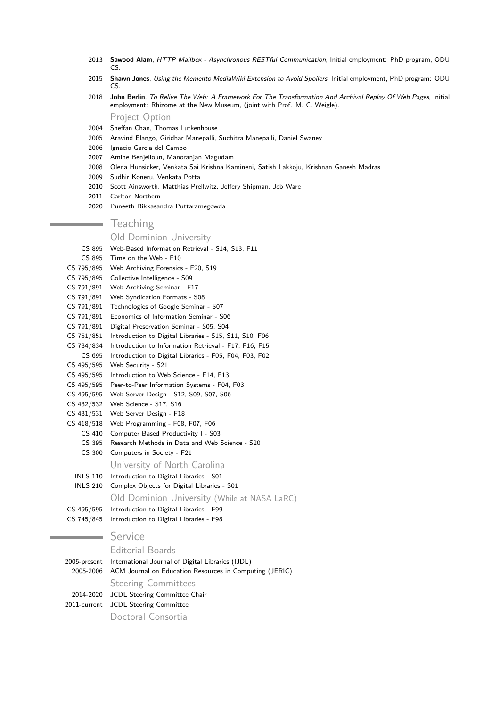- 2013 **Sawood Alam**, HTTP Mailbox Asynchronous RESTful Communication, Initial employment: PhD program, ODU CS.
- 2015 **Shawn Jones**, Using the Memento MediaWiki Extension to Avoid Spoilers, Initial employment, PhD program: ODU CS.
- 2018 **John Berlin**, To Relive The Web: A Framework For The Transformation And Archival Replay Of Web Pages, Initial employment: Rhizome at the New Museum, (joint with Prof. M. C. Weigle).

Project Option

- 2004 Sheffan Chan, Thomas Lutkenhouse
- 2005 Aravind Elango, Giridhar Manepalli, Suchitra Manepalli, Daniel Swaney
- 2006 Ignacio Garcia del Campo
- 2007 Amine Benjelloun, Manoranjan Magudam
- 2008 Olena Hunsicker, Venkata Sai Krishna Kamineni, Satish Lakkoju, Krishnan Ganesh Madras
- 2009 Sudhir Koneru, Venkata Potta
- 2010 Scott Ainsworth, Matthias Prellwitz, Jeffery Shipman, Jeb Ware
- 2011 Carlton Northern
- 2020 Puneeth Bikkasandra Puttaramegowda

## **Teaching**

#### Old Dominion University

- CS 895 Web-Based Information Retrieval S14, S13, F11
- CS 895 Time on the Web F10
- CS 795/895 Web Archiving Forensics F20, S19
- CS 795/895 Collective Intelligence S09
- CS 791/891 Web Archiving Seminar F17
- CS 791/891 Web Syndication Formats S08
- CS 791/891 Technologies of Google Seminar S07
- CS 791/891 Economics of Information Seminar S06
- CS 791/891 Digital Preservation Seminar S05, S04
- CS 751/851 Introduction to Digital Libraries S15, S11, S10, F06
- CS 734/834 Introduction to Information Retrieval F17, F16, F15
- CS 695 Introduction to Digital Libraries F05, F04, F03, F02
- CS 495/595 Web Security S21
- CS 495/595 Introduction to Web Science F14, F13
- CS 495/595 Peer-to-Peer Information Systems F04, F03
- CS 495/595 Web Server Design S12, S09, S07, S06
- CS 432/532 Web Science S17, S16
- CS 431/531 Web Server Design F18
- CS 418/518 Web Programming F08, F07, F06
- CS 410 Computer Based Productivity I S03
	- CS 395 Research Methods in Data and Web Science S20
	- CS 300 Computers in Society F21

#### University of North Carolina

- INLS 110 Introduction to Digital Libraries S01
- INLS 210 Complex Objects for Digital Libraries S01

Old Dominion University (While at NASA LaRC)

| CS 495/595 Introduction to Digital Libraries - F99 |  |
|----------------------------------------------------|--|
| CS 745/845 Introduction to Digital Libraries - F98 |  |

## Service

### Editorial Boards

2005-present International Journal of Digital Libraries (IJDL) 2005-2006 ACM Journal on Education Resources in Computing (JERIC) Steering Committees 2014-2020 JCDL Steering Committee Chair 2011-current JCDL Steering Committee Doctoral Consortia